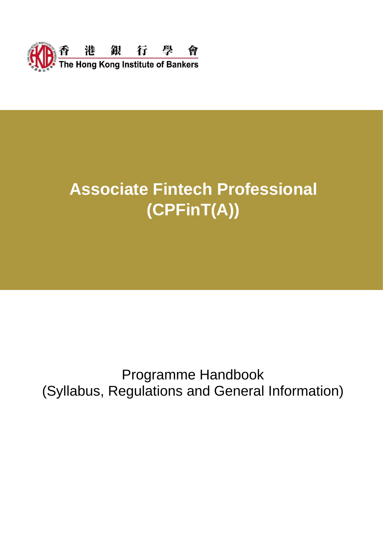

# **Associate Fintech Professional (CPFinT(A))**

# Programme Handbook (Syllabus, Regulations and General Information)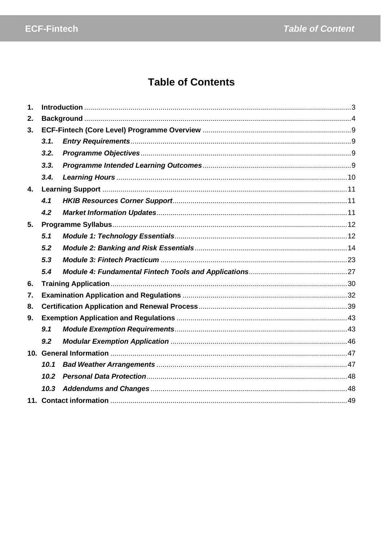# **Table of Contents**

| $\mathbf 1$ . |      |  |
|---------------|------|--|
| 2.            |      |  |
| 3.            |      |  |
|               | 3.1. |  |
|               | 3.2. |  |
|               | 3.3. |  |
|               | 3.4. |  |
| 4.            |      |  |
|               | 4.1  |  |
|               | 4.2  |  |
| 5.            |      |  |
|               | 5.1  |  |
|               | 5.2  |  |
|               | 5.3  |  |
|               | 5.4  |  |
| 6.            |      |  |
| 7.            |      |  |
| 8.            |      |  |
| 9.            |      |  |
|               | 9.1  |  |
|               | 9.2  |  |
|               |      |  |
|               | 10.1 |  |
|               | 10.2 |  |
|               | 10.3 |  |
|               |      |  |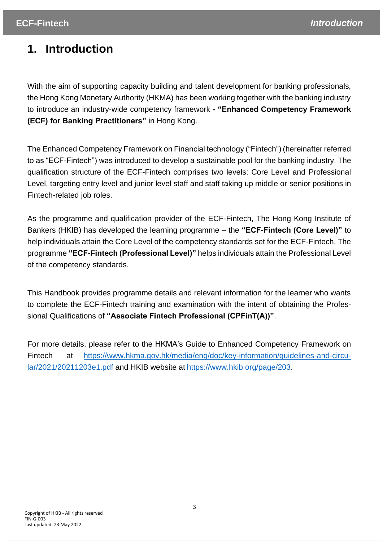# <span id="page-2-0"></span>**1. Introduction**

With the aim of supporting capacity building and talent development for banking professionals, the Hong Kong Monetary Authority (HKMA) has been working together with the banking industry to introduce an industry-wide competency framework **- "Enhanced Competency Framework (ECF) for Banking Practitioners"** in Hong Kong.

The Enhanced Competency Framework on Financial technology ("Fintech") (hereinafter referred to as "ECF-Fintech") was introduced to develop a sustainable pool for the banking industry. The qualification structure of the ECF-Fintech comprises two levels: Core Level and Professional Level, targeting entry level and junior level staff and staff taking up middle or senior positions in Fintech-related job roles.

As the programme and qualification provider of the ECF-Fintech, The Hong Kong Institute of Bankers (HKIB) has developed the learning programme – the **"ECF-Fintech (Core Level)"** to help individuals attain the Core Level of the competency standards set for the ECF-Fintech. The programme **"ECF-Fintech (Professional Level)"** helps individuals attain the Professional Level of the competency standards.

This Handbook provides programme details and relevant information for the learner who wants to complete the ECF-Fintech training and examination with the intent of obtaining the Professional Qualifications of **"Associate Fintech Professional (CPFinT(A))"**.

For more details, please refer to the HKMA's Guide to Enhanced Competency Framework on Fintech at [https://www.hkma.gov.hk/media/eng/doc/key-information/guidelines-and-circu](https://www.hkma.gov.hk/media/eng/doc/key-information/guidelines-and-circular/2021/20211203e1.pdf)[lar/2021/20211203e1.pdf](https://www.hkma.gov.hk/media/eng/doc/key-information/guidelines-and-circular/2021/20211203e1.pdf) and HKIB website at [https://www.hkib.org/page/203.](https://www.hkib.org/page/203)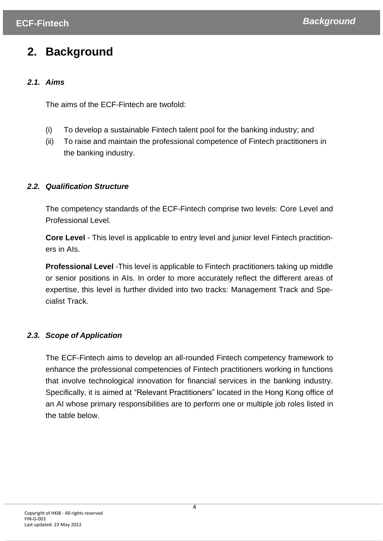# <span id="page-3-0"></span>**2. Background**

# *2.1. Aims*

The aims of the ECF-Fintech are twofold:

- (i) To develop a sustainable Fintech talent pool for the banking industry; and
- (ii) To raise and maintain the professional competence of Fintech practitioners in the banking industry.

# *2.2. Qualification Structure*

The competency standards of the ECF-Fintech comprise two levels: Core Level and Professional Level.

**Core Level** - This level is applicable to entry level and junior level Fintech practitioners in AIs.

**Professional Level** -This level is applicable to Fintech practitioners taking up middle or senior positions in AIs. In order to more accurately reflect the different areas of expertise, this level is further divided into two tracks: Management Track and Specialist Track.

# *2.3. Scope of Application*

The ECF-Fintech aims to develop an all-rounded Fintech competency framework to enhance the professional competencies of Fintech practitioners working in functions that involve technological innovation for financial services in the banking industry. Specifically, it is aimed at "Relevant Practitioners" located in the Hong Kong office of an AI whose primary responsibilities are to perform one or multiple job roles listed in the table below.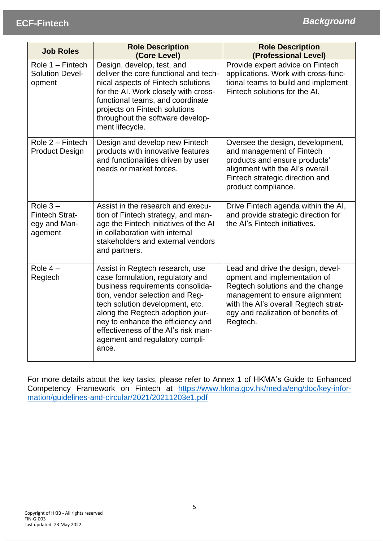| <b>Job Roles</b>                                              | <b>Role Description</b><br>(Core Level)                                                                                                                                                                                                                                                                                                  | <b>Role Description</b><br>(Professional Level)                                                                                                                                                                                   |  |
|---------------------------------------------------------------|------------------------------------------------------------------------------------------------------------------------------------------------------------------------------------------------------------------------------------------------------------------------------------------------------------------------------------------|-----------------------------------------------------------------------------------------------------------------------------------------------------------------------------------------------------------------------------------|--|
| Role 1 - Fintech<br><b>Solution Devel-</b><br>opment          | Design, develop, test, and<br>deliver the core functional and tech-<br>nical aspects of Fintech solutions<br>for the AI. Work closely with cross-<br>functional teams, and coordinate<br>projects on Fintech solutions<br>throughout the software develop-<br>ment lifecycle.                                                            | Provide expert advice on Fintech<br>applications. Work with cross-func-<br>tional teams to build and implement<br>Fintech solutions for the AI.                                                                                   |  |
| Role 2 - Fintech<br><b>Product Design</b>                     | Design and develop new Fintech<br>products with innovative features<br>and functionalities driven by user<br>needs or market forces.                                                                                                                                                                                                     | Oversee the design, development,<br>and management of Fintech<br>products and ensure products'<br>alignment with the Al's overall<br>Fintech strategic direction and<br>product compliance.                                       |  |
| Role $3-$<br><b>Fintech Strat-</b><br>egy and Man-<br>agement | Assist in the research and execu-<br>tion of Fintech strategy, and man-<br>age the Fintech initiatives of the AI<br>in collaboration with internal<br>stakeholders and external vendors<br>and partners.                                                                                                                                 | Drive Fintech agenda within the AI,<br>and provide strategic direction for<br>the AI's Fintech initiatives.                                                                                                                       |  |
| Role $4-$<br>Regtech                                          | Assist in Regtech research, use<br>case formulation, regulatory and<br>business requirements consolida-<br>tion, vendor selection and Reg-<br>tech solution development, etc.<br>along the Regtech adoption jour-<br>ney to enhance the efficiency and<br>effectiveness of the Al's risk man-<br>agement and regulatory compli-<br>ance. | Lead and drive the design, devel-<br>opment and implementation of<br>Regtech solutions and the change<br>management to ensure alignment<br>with the Al's overall Regtech strat-<br>egy and realization of benefits of<br>Regtech. |  |

For more details about the key tasks, please refer to Annex 1 of HKMA's Guide to Enhanced Competency Framework on Fintech at [https://www.hkma.gov.hk/media/eng/doc/key-infor](https://www.hkma.gov.hk/media/eng/doc/key-information/guidelines-and-circular/2021/20211203e1.pdf)[mation/guidelines-and-circular/2021/20211203e1.pdf](https://www.hkma.gov.hk/media/eng/doc/key-information/guidelines-and-circular/2021/20211203e1.pdf)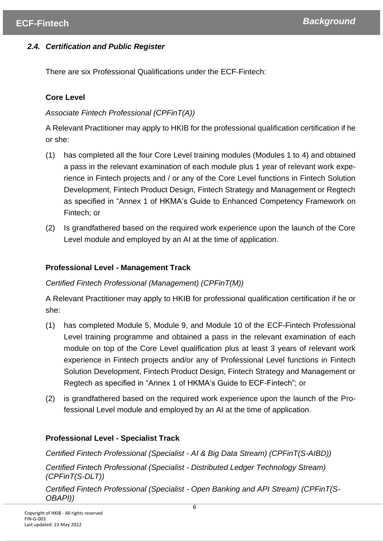# *2.4. Certification and Public Register*

There are six Professional Qualifications under the ECF-Fintech:

# **Core Level**

# *Associate Fintech Professional (CPFinT(A))*

A Relevant Practitioner may apply to HKIB for the professional qualification certification if he or she:

- (1) has completed all the four Core Level training modules (Modules 1 to 4) and obtained a pass in the relevant examination of each module plus 1 year of relevant work experience in Fintech projects and / or any of the Core Level functions in Fintech Solution Development, Fintech Product Design, Fintech Strategy and Management or Regtech as specified in "Annex 1 of HKMA's Guide to Enhanced Competency Framework on Fintech; or
- (2) Is grandfathered based on the required work experience upon the launch of the Core Level module and employed by an AI at the time of application.

# **Professional Level - Management Track**

# *Certified Fintech Professional (Management) (CPFinT(M))*

A Relevant Practitioner may apply to HKIB for professional qualification certification if he or she:

- (1) has completed Module 5, Module 9, and Module 10 of the ECF-Fintech Professional Level training programme and obtained a pass in the relevant examination of each module on top of the Core Level qualification plus at least 3 years of relevant work experience in Fintech projects and/or any of Professional Level functions in Fintech Solution Development, Fintech Product Design, Fintech Strategy and Management or Regtech as specified in "Annex 1 of HKMA's Guide to ECF-Fintech"; or
- (2) is grandfathered based on the required work experience upon the launch of the Professional Level module and employed by an AI at the time of application.

# **Professional Level - Specialist Track**

*Certified Fintech Professional (Specialist - AI & Big Data Stream) (CPFinT(S-AIBD))*

*Certified Fintech Professional (Specialist - Distributed Ledger Technology Stream) (CPFinT(S-DLT))*

*Certified Fintech Professional (Specialist - Open Banking and API Stream) (CPFinT(S-OBAPI))*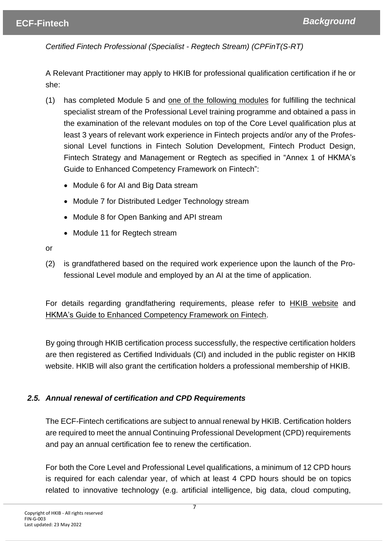*Certified Fintech Professional (Specialist - Regtech Stream) (CPFinT(S-RT)*

A Relevant Practitioner may apply to HKIB for professional qualification certification if he or she:

- (1) has completed Module 5 and one of the following modules for fulfilling the technical specialist stream of the Professional Level training programme and obtained a pass in the examination of the relevant modules on top of the Core Level qualification plus at least 3 years of relevant work experience in Fintech projects and/or any of the Professional Level functions in Fintech Solution Development, Fintech Product Design, Fintech Strategy and Management or Regtech as specified in "Annex 1 of HKMA's Guide to Enhanced Competency Framework on Fintech":
	- Module 6 for AI and Big Data stream
	- Module 7 for Distributed Ledger Technology stream
	- Module 8 for Open Banking and API stream
	- Module 11 for Regtech stream

or

(2) is grandfathered based on the required work experience upon the launch of the Professional Level module and employed by an AI at the time of application.

For details regarding grandfathering requirements, please refer to HKIB website and HKMA's Guide to Enhanced Competency Framework on Fintech.

By going through HKIB certification process successfully, the respective certification holders are then registered as Certified Individuals (CI) and included in the public register on HKIB website. HKIB will also grant the certification holders a professional membership of HKIB.

# *2.5. Annual renewal of certification and CPD Requirements*

The ECF-Fintech certifications are subject to annual renewal by HKIB. Certification holders are required to meet the annual Continuing Professional Development (CPD) requirements and pay an annual certification fee to renew the certification.

For both the Core Level and Professional Level qualifications, a minimum of 12 CPD hours is required for each calendar year, of which at least 4 CPD hours should be on topics related to innovative technology (e.g. artificial intelligence, big data, cloud computing,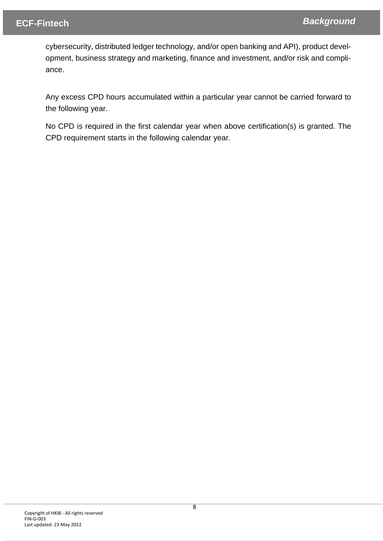cybersecurity, distributed ledger technology, and/or open banking and API), product development, business strategy and marketing, finance and investment, and/or risk and compliance.

Any excess CPD hours accumulated within a particular year cannot be carried forward to the following year.

No CPD is required in the first calendar year when above certification(s) is granted. The CPD requirement starts in the following calendar year.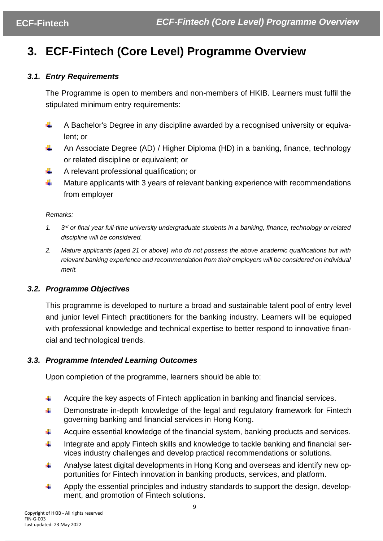# <span id="page-8-0"></span>**3. ECF-Fintech (Core Level) Programme Overview**

## <span id="page-8-1"></span>*3.1. Entry Requirements*

The Programme is open to members and non-members of HKIB. Learners must fulfil the stipulated minimum entry requirements:

- ÷ A Bachelor's Degree in any discipline awarded by a recognised university or equivalent; or
- ÷ An Associate Degree (AD) / Higher Diploma (HD) in a banking, finance, technology or related discipline or equivalent; or
- ÷ A relevant professional qualification; or
- ÷ Mature applicants with 3 years of relevant banking experience with recommendations from employer

#### *Remarks:*

- *1. 3*  $3<sup>rd</sup>$  or final year full-time university undergraduate students in a banking, finance, technology or related *discipline will be considered.*
- *2. Mature applicants (aged 21 or above) who do not possess the above academic qualifications but with relevant banking experience and recommendation from their employers will be considered on individual merit.*

# <span id="page-8-2"></span>*3.2. Programme Objectives*

This programme is developed to nurture a broad and sustainable talent pool of entry level and junior level Fintech practitioners for the banking industry. Learners will be equipped with professional knowledge and technical expertise to better respond to innovative financial and technological trends.

### <span id="page-8-3"></span>*3.3. Programme Intended Learning Outcomes*

Upon completion of the programme, learners should be able to:

- Acquire the key aspects of Fintech application in banking and financial services. ÷
- 4. Demonstrate in-depth knowledge of the legal and regulatory framework for Fintech governing banking and financial services in Hong Kong.
- ÷ Acquire essential knowledge of the financial system, banking products and services.
- Integrate and apply Fintech skills and knowledge to tackle banking and financial ser-÷ vices industry challenges and develop practical recommendations or solutions.
- ÷ Analyse latest digital developments in Hong Kong and overseas and identify new opportunities for Fintech innovation in banking products, services, and platform.
- Apply the essential principles and industry standards to support the design, develop-÷ ment, and promotion of Fintech solutions.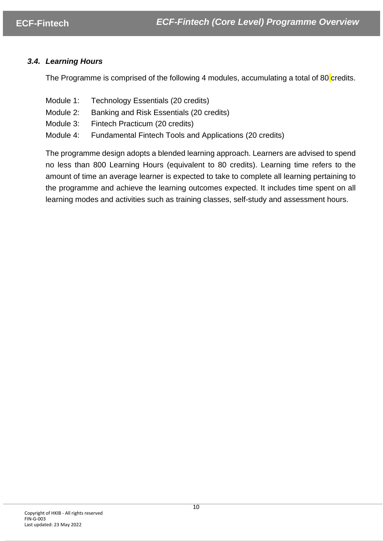## <span id="page-9-0"></span>*3.4. Learning Hours*

The Programme is comprised of the following 4 modules, accumulating a total of 80 credits.

- Module 1: Technology Essentials (20 credits)
- Module 2: Banking and Risk Essentials (20 credits)
- Module 3: Fintech Practicum (20 credits)
- Module 4: Fundamental Fintech Tools and Applications (20 credits)

The programme design adopts a blended learning approach. Learners are advised to spend no less than 800 Learning Hours (equivalent to 80 credits). Learning time refers to the amount of time an average learner is expected to take to complete all learning pertaining to the programme and achieve the learning outcomes expected. It includes time spent on all learning modes and activities such as training classes, self-study and assessment hours.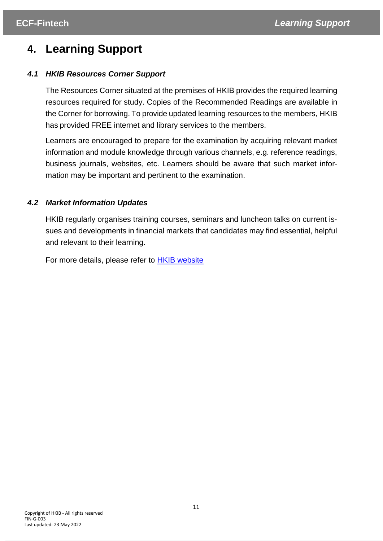# <span id="page-10-0"></span>**4. Learning Support**

# <span id="page-10-1"></span>*4.1 HKIB Resources Corner Support*

The Resources Corner situated at the premises of HKIB provides the required learning resources required for study. Copies of the Recommended Readings are available in the Corner for borrowing. To provide updated learning resources to the members, HKIB has provided FREE internet and library services to the members.

Learners are encouraged to prepare for the examination by acquiring relevant market information and module knowledge through various channels, e.g. reference readings, business journals, websites, etc. Learners should be aware that such market information may be important and pertinent to the examination.

# <span id="page-10-2"></span>*4.2 Market Information Updates*

HKIB regularly organises training courses, seminars and luncheon talks on current issues and developments in financial markets that candidates may find essential, helpful and relevant to their learning.

For more details, please refer to **HKIB** [website](https://secure.kesdee.com/ksdlms/?Partner=HKIB)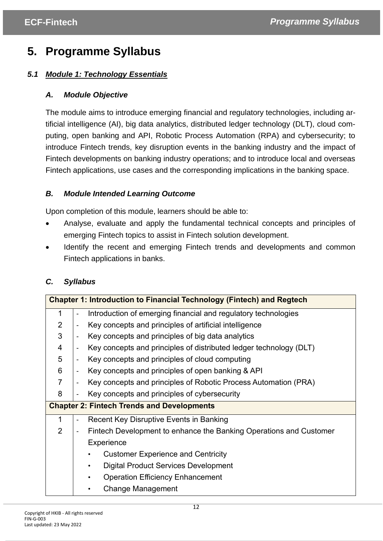# <span id="page-11-0"></span>**5. Programme Syllabus**

# <span id="page-11-1"></span>*5.1 Module 1: Technology Essentials*

# *A. Module Objective*

The module aims to introduce emerging financial and regulatory technologies, including artificial intelligence (AI), big data analytics, distributed ledger technology (DLT), cloud computing, open banking and API, Robotic Process Automation (RPA) and cybersecurity; to introduce Fintech trends, key disruption events in the banking industry and the impact of Fintech developments on banking industry operations; and to introduce local and overseas Fintech applications, use cases and the corresponding implications in the banking space.

# *B. Module Intended Learning Outcome*

Upon completion of this module, learners should be able to:

- Analyse, evaluate and apply the fundamental technical concepts and principles of emerging Fintech topics to assist in Fintech solution development.
- Identify the recent and emerging Fintech trends and developments and common Fintech applications in banks.

# *C. Syllabus*

| <b>Chapter 1: Introduction to Financial Technology (Fintech) and Regtech</b> |                                              |                                                                    |
|------------------------------------------------------------------------------|----------------------------------------------|--------------------------------------------------------------------|
| 1                                                                            | $\blacksquare$                               | Introduction of emerging financial and regulatory technologies     |
| $\overline{2}$                                                               |                                              | Key concepts and principles of artificial intelligence             |
| 3                                                                            |                                              | Key concepts and principles of big data analytics                  |
| 4                                                                            | $\overline{\phantom{a}}$                     | Key concepts and principles of distributed ledger technology (DLT) |
| 5                                                                            |                                              | Key concepts and principles of cloud computing                     |
| 6                                                                            |                                              | Key concepts and principles of open banking & API                  |
| $\overline{7}$                                                               |                                              | Key concepts and principles of Robotic Process Automation (PRA)    |
| 8                                                                            | Key concepts and principles of cybersecurity |                                                                    |
|                                                                              |                                              | <b>Chapter 2: Fintech Trends and Developments</b>                  |
| 1                                                                            |                                              | Recent Key Disruptive Events in Banking                            |
| $\overline{2}$                                                               | $\blacksquare$                               | Fintech Development to enhance the Banking Operations and Customer |
|                                                                              |                                              | Experience                                                         |
|                                                                              |                                              | <b>Customer Experience and Centricity</b><br>$\bullet$             |
|                                                                              |                                              | <b>Digital Product Services Development</b><br>٠                   |
|                                                                              |                                              | <b>Operation Efficiency Enhancement</b><br>٠                       |
|                                                                              |                                              | <b>Change Management</b><br>٠                                      |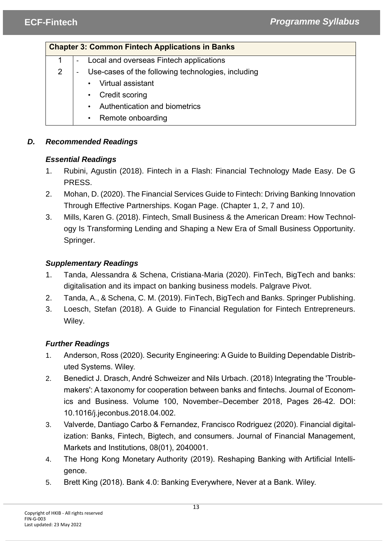# **Chapter 3: Common Fintech Applications in Banks**

- 1 Local and overseas Fintech applications
- 2 Use-cases of the following technologies, including
	- Virtual assistant
	- Credit scoring
	- Authentication and biometrics
	- Remote onboarding

# *D. Recommended Readings*

# *Essential Readings*

- 1. Rubini, Agustin (2018). Fintech in a Flash: Financial Technology Made Easy. De G PRESS.
- 2. Mohan, D. (2020). The Financial Services Guide to Fintech: Driving Banking Innovation Through Effective Partnerships. Kogan Page. (Chapter 1, 2, 7 and 10).
- 3. Mills, Karen G. (2018). Fintech, Small Business & the American Dream: How Technology Is Transforming Lending and Shaping a New Era of Small Business Opportunity. Springer.

# *Supplementary Readings*

- 1. Tanda, Alessandra & Schena, Cristiana-Maria (2020). FinTech, BigTech and banks: digitalisation and its impact on banking business models. Palgrave Pivot.
- 2. Tanda, A., & Schena, C. M. (2019). FinTech, BigTech and Banks. Springer Publishing.
- 3. Loesch, Stefan (2018). A Guide to Financial Regulation for Fintech Entrepreneurs. Wiley.

# *Further Readings*

- 1. Anderson, Ross (2020). Security Engineering: A Guide to Building Dependable Distributed Systems. Wiley.
- 2. Benedict J. Drasch, André Schweizer and Nils Urbach. (2018) Integrating the 'Troublemakers': A taxonomy for cooperation between banks and fintechs. Journal of Economics and Business. Volume 100, November–December 2018, Pages 26-42. DOI: 10.1016/j.jeconbus.2018.04.002.
- 3. Valverde, Dantiago Carbo & Fernandez, Francisco Rodriguez (2020). Financial digitalization: Banks, Fintech, Bigtech, and consumers. Journal of Financial Management, Markets and Institutions, 08(01), 2040001.
- 4. The Hong Kong Monetary Authority (2019). Reshaping Banking with Artificial Intelligence.
- 5. Brett King (2018). Bank 4.0: Banking Everywhere, Never at a Bank. Wiley.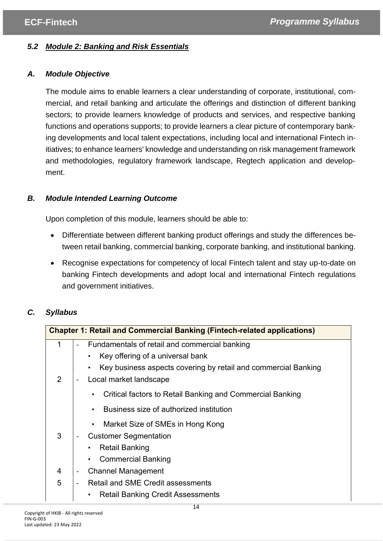# <span id="page-13-0"></span>*5.2 Module 2: Banking and Risk Essentials*

## *A. Module Objective*

The module aims to enable learners a clear understanding of corporate, institutional, commercial, and retail banking and articulate the offerings and distinction of different banking sectors; to provide learners knowledge of products and services, and respective banking functions and operations supports; to provide learners a clear picture of contemporary banking developments and local talent expectations, including local and international Fintech initiatives; to enhance learners' knowledge and understanding on risk management framework and methodologies, regulatory framework landscape, Regtech application and development.

## *B. Module Intended Learning Outcome*

Upon completion of this module, learners should be able to:

- Differentiate between different banking product offerings and study the differences between retail banking, commercial banking, corporate banking, and institutional banking.
- Recognise expectations for competency of local Fintech talent and stay up-to-date on banking Fintech developments and adopt local and international Fintech regulations and government initiatives.

# *C. Syllabus*

| <b>Chapter 1: Retail and Commercial Banking (Fintech-related applications)</b> |                                          |                                                                     |
|--------------------------------------------------------------------------------|------------------------------------------|---------------------------------------------------------------------|
| 1                                                                              |                                          | Fundamentals of retail and commercial banking                       |
|                                                                                |                                          | Key offering of a universal bank                                    |
|                                                                                |                                          | Key business aspects covering by retail and commercial Banking<br>٠ |
| 2                                                                              |                                          | Local market landscape                                              |
|                                                                                |                                          | Critical factors to Retail Banking and Commercial Banking           |
|                                                                                |                                          | Business size of authorized institution                             |
|                                                                                |                                          | Market Size of SMEs in Hong Kong                                    |
| 3                                                                              |                                          | <b>Customer Segmentation</b>                                        |
|                                                                                |                                          | <b>Retail Banking</b>                                               |
|                                                                                |                                          | <b>Commercial Banking</b>                                           |
| 4                                                                              | $\blacksquare$                           | <b>Channel Management</b>                                           |
| 5                                                                              | <b>Retail and SME Credit assessments</b> |                                                                     |
|                                                                                |                                          | <b>Retail Banking Credit Assessments</b><br>٠                       |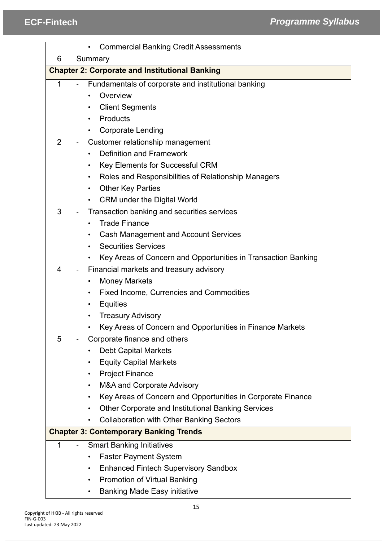|                | <b>Commercial Banking Credit Assessments</b>                        |
|----------------|---------------------------------------------------------------------|
| 6              | Summary                                                             |
|                | <b>Chapter 2: Corporate and Institutional Banking</b>               |
| 1              | Fundamentals of corporate and institutional banking                 |
|                | Overview                                                            |
|                | <b>Client Segments</b>                                              |
| Products       |                                                                     |
|                | <b>Corporate Lending</b>                                            |
| $\overline{2}$ | Customer relationship management                                    |
|                | <b>Definition and Framework</b>                                     |
|                | <b>Key Elements for Successful CRM</b>                              |
|                | Roles and Responsibilities of Relationship Managers                 |
|                | <b>Other Key Parties</b><br>$\bullet$                               |
|                | <b>CRM under the Digital World</b><br>$\bullet$                     |
| 3              | Transaction banking and securities services                         |
|                | <b>Trade Finance</b>                                                |
|                | <b>Cash Management and Account Services</b>                         |
|                | <b>Securities Services</b>                                          |
|                | Key Areas of Concern and Opportunities in Transaction Banking       |
| $\overline{4}$ | Financial markets and treasury advisory<br>$\overline{\phantom{a}}$ |
|                | <b>Money Markets</b>                                                |
|                | <b>Fixed Income, Currencies and Commodities</b>                     |
|                | <b>Equities</b>                                                     |
|                | <b>Treasury Advisory</b>                                            |
|                | Key Areas of Concern and Opportunities in Finance Markets           |
| 5              | Corporate finance and others                                        |
|                | <b>Debt Capital Markets</b>                                         |
|                | <b>Equity Capital Markets</b>                                       |
|                | <b>Project Finance</b><br>٠                                         |
|                | M&A and Corporate Advisory                                          |
|                | Key Areas of Concern and Opportunities in Corporate Finance         |
|                | <b>Other Corporate and Institutional Banking Services</b>           |
|                | <b>Collaboration with Other Banking Sectors</b>                     |
|                | <b>Chapter 3: Contemporary Banking Trends</b>                       |
| 1              | <b>Smart Banking Initiatives</b>                                    |
|                | <b>Faster Payment System</b>                                        |
|                | <b>Enhanced Fintech Supervisory Sandbox</b><br>٠                    |
|                | <b>Promotion of Virtual Banking</b><br>٠                            |
|                | <b>Banking Made Easy initiative</b><br>$\bullet$                    |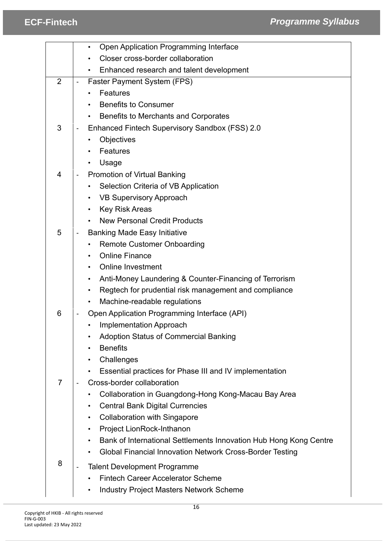|                |                                   | Open Application Programming Interface<br>$\bullet$                            |  |
|----------------|-----------------------------------|--------------------------------------------------------------------------------|--|
|                | Closer cross-border collaboration |                                                                                |  |
|                |                                   | Enhanced research and talent development                                       |  |
| $\overline{2}$ |                                   | Faster Payment System (FPS)                                                    |  |
|                |                                   | <b>Features</b>                                                                |  |
|                |                                   | <b>Benefits to Consumer</b>                                                    |  |
|                |                                   | Benefits to Merchants and Corporates                                           |  |
| 3              |                                   | Enhanced Fintech Supervisory Sandbox (FSS) 2.0                                 |  |
|                |                                   | Objectives                                                                     |  |
|                |                                   | Features                                                                       |  |
|                |                                   | Usage                                                                          |  |
| 4              |                                   | <b>Promotion of Virtual Banking</b>                                            |  |
|                |                                   | Selection Criteria of VB Application                                           |  |
|                |                                   | <b>VB Supervisory Approach</b>                                                 |  |
|                |                                   | <b>Key Risk Areas</b><br>$\bullet$                                             |  |
|                |                                   | <b>New Personal Credit Products</b>                                            |  |
| 5              |                                   | <b>Banking Made Easy Initiative</b>                                            |  |
|                |                                   | <b>Remote Customer Onboarding</b>                                              |  |
|                |                                   | <b>Online Finance</b><br>$\bullet$                                             |  |
|                |                                   | <b>Online Investment</b>                                                       |  |
|                |                                   | Anti-Money Laundering & Counter-Financing of Terrorism<br>$\bullet$            |  |
|                |                                   | Regtech for prudential risk management and compliance<br>$\bullet$             |  |
|                |                                   | Machine-readable regulations                                                   |  |
| 6              |                                   | Open Application Programming Interface (API)                                   |  |
|                |                                   | Implementation Approach                                                        |  |
|                |                                   | <b>Adoption Status of Commercial Banking</b>                                   |  |
|                |                                   | <b>Benefits</b>                                                                |  |
|                |                                   | Challenges<br>$\bullet$                                                        |  |
|                |                                   | Essential practices for Phase III and IV implementation                        |  |
| $\overline{7}$ |                                   | Cross-border collaboration                                                     |  |
|                |                                   | Collaboration in Guangdong-Hong Kong-Macau Bay Area                            |  |
|                |                                   | <b>Central Bank Digital Currencies</b><br>$\bullet$                            |  |
|                |                                   | <b>Collaboration with Singapore</b><br>$\bullet$                               |  |
|                |                                   | Project LionRock-Inthanon<br>$\bullet$                                         |  |
|                |                                   | Bank of International Settlements Innovation Hub Hong Kong Centre<br>$\bullet$ |  |
|                |                                   | Global Financial Innovation Network Cross-Border Testing                       |  |
| 8              |                                   | <b>Talent Development Programme</b>                                            |  |
|                |                                   | <b>Fintech Career Accelerator Scheme</b>                                       |  |
|                |                                   | <b>Industry Project Masters Network Scheme</b>                                 |  |
|                |                                   |                                                                                |  |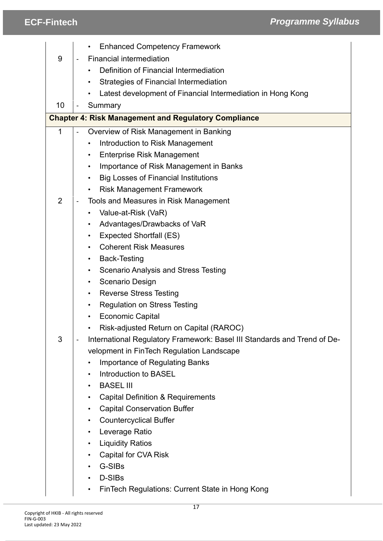|                | <b>Enhanced Competency Framework</b>                                                                     |  |
|----------------|----------------------------------------------------------------------------------------------------------|--|
| 9              | <b>Financial intermediation</b>                                                                          |  |
|                | Definition of Financial Intermediation                                                                   |  |
|                |                                                                                                          |  |
|                | <b>Strategies of Financial Intermediation</b>                                                            |  |
|                | Latest development of Financial Intermediation in Hong Kong                                              |  |
| 10             | Summary<br>$\qquad \qquad \blacksquare$                                                                  |  |
|                | <b>Chapter 4: Risk Management and Regulatory Compliance</b>                                              |  |
| 1              | Overview of Risk Management in Banking<br>$\qquad \qquad \blacksquare$                                   |  |
|                | Introduction to Risk Management                                                                          |  |
|                | <b>Enterprise Risk Management</b><br>$\bullet$                                                           |  |
|                | Importance of Risk Management in Banks<br>$\bullet$                                                      |  |
|                | <b>Big Losses of Financial Institutions</b><br>$\bullet$                                                 |  |
|                | <b>Risk Management Framework</b><br>$\bullet$                                                            |  |
| $\overline{2}$ | Tools and Measures in Risk Management<br>$\overline{\phantom{a}}$                                        |  |
|                | Value-at-Risk (VaR)                                                                                      |  |
|                | Advantages/Drawbacks of VaR<br>٠                                                                         |  |
|                | <b>Expected Shortfall (ES)</b><br>$\bullet$                                                              |  |
|                | <b>Coherent Risk Measures</b><br>$\bullet$                                                               |  |
|                | <b>Back-Testing</b><br>$\bullet$                                                                         |  |
|                | <b>Scenario Analysis and Stress Testing</b><br>٠                                                         |  |
|                | Scenario Design<br>$\bullet$                                                                             |  |
|                | <b>Reverse Stress Testing</b><br>٠                                                                       |  |
|                | <b>Regulation on Stress Testing</b><br>$\bullet$                                                         |  |
|                | <b>Economic Capital</b>                                                                                  |  |
|                | Risk-adjusted Return on Capital (RAROC)                                                                  |  |
| 3              | International Regulatory Framework: Basel III Standards and Trend of De-<br>$\qquad \qquad \blacksquare$ |  |
|                | velopment in FinTech Regulation Landscape                                                                |  |
|                | Importance of Regulating Banks                                                                           |  |
|                | Introduction to BASEL<br>$\bullet$                                                                       |  |
|                | <b>BASEL III</b><br>$\bullet$                                                                            |  |
|                | <b>Capital Definition &amp; Requirements</b><br>$\bullet$                                                |  |
|                | <b>Capital Conservation Buffer</b><br>$\bullet$                                                          |  |
|                | <b>Countercyclical Buffer</b><br>$\bullet$                                                               |  |
|                | Leverage Ratio<br>$\bullet$                                                                              |  |
|                | <b>Liquidity Ratios</b><br>$\bullet$                                                                     |  |
|                | <b>Capital for CVA Risk</b><br>$\bullet$                                                                 |  |
|                | G-SIBs<br>$\bullet$                                                                                      |  |
|                | D-SIBs<br>$\bullet$                                                                                      |  |
|                | FinTech Regulations: Current State in Hong Kong<br>$\bullet$                                             |  |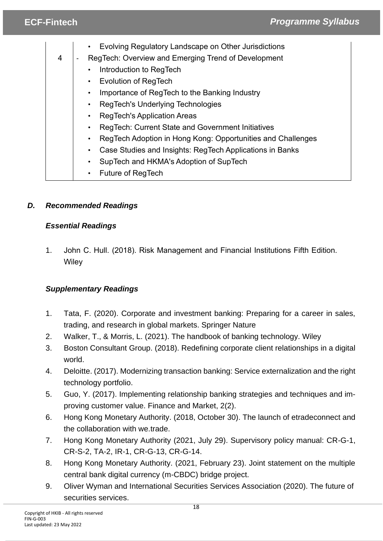|   | Evolving Regulatory Landscape on Other Jurisdictions        |  |
|---|-------------------------------------------------------------|--|
| 4 | RegTech: Overview and Emerging Trend of Development         |  |
|   | Introduction to RegTech                                     |  |
|   | <b>Evolution of RegTech</b><br>$\bullet$                    |  |
|   | Importance of RegTech to the Banking Industry               |  |
|   | RegTech's Underlying Technologies                           |  |
|   | <b>RegTech's Application Areas</b>                          |  |
|   | RegTech: Current State and Government Initiatives           |  |
|   | RegTech Adoption in Hong Kong: Opportunities and Challenges |  |
|   | Case Studies and Insights: RegTech Applications in Banks    |  |
|   | SupTech and HKMA's Adoption of SupTech                      |  |
|   | <b>Future of RegTech</b>                                    |  |

# *D. Recommended Readings*

# *Essential Readings*

1. John C. Hull. (2018). Risk Management and Financial Institutions Fifth Edition. **Wiley** 

# *Supplementary Readings*

- 1. Tata, F. (2020). Corporate and investment banking: Preparing for a career in sales, trading, and research in global markets. Springer Nature
- 2. Walker, T., & Morris, L. (2021). The handbook of banking technology. Wiley
- 3. Boston Consultant Group. (2018). Redefining corporate client relationships in a digital world.
- 4. Deloitte. (2017). Modernizing transaction banking: Service externalization and the right technology portfolio.
- 5. Guo, Y. (2017). Implementing relationship banking strategies and techniques and improving customer value. Finance and Market, 2(2).
- 6. Hong Kong Monetary Authority. (2018, October 30). The launch of etradeconnect and the collaboration with we.trade.
- 7. Hong Kong Monetary Authority (2021, July 29). Supervisory policy manual: CR-G-1, CR-S-2, TA-2, IR-1, CR-G-13, CR-G-14.
- 8. Hong Kong Monetary Authority. (2021, February 23). Joint statement on the multiple central bank digital currency (m-CBDC) bridge project.
- 9. Oliver Wyman and International Securities Services Association (2020). The future of securities services.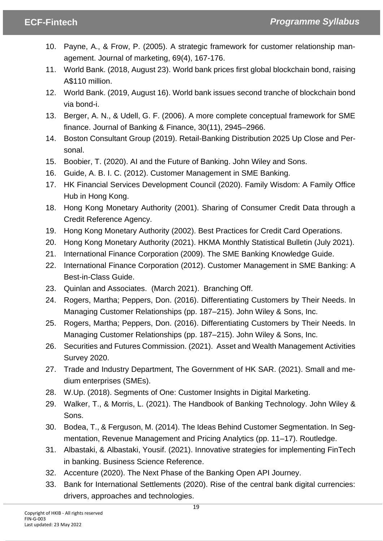- 10. Payne, A., & Frow, P. (2005). A strategic framework for customer relationship management. Journal of marketing, 69(4), 167-176.
- 11. World Bank. (2018, August 23). World bank prices first global blockchain bond, raising A\$110 million.
- 12. World Bank. (2019, August 16). World bank issues second tranche of blockchain bond via bond-i.
- 13. Berger, A. N., & Udell, G. F. (2006). A more complete conceptual framework for SME finance. Journal of Banking & Finance, 30(11), 2945–2966.
- 14. Boston Consultant Group (2019). Retail-Banking Distribution 2025 Up Close and Personal.
- 15. Boobier, T. (2020). AI and the Future of Banking. John Wiley and Sons.
- 16. Guide, A. B. I. C. (2012). Customer Management in SME Banking.
- 17. HK Financial Services Development Council (2020). Family Wisdom: A Family Office Hub in Hong Kong.
- 18. Hong Kong Monetary Authority (2001). Sharing of Consumer Credit Data through a Credit Reference Agency.
- 19. Hong Kong Monetary Authority (2002). Best Practices for Credit Card Operations.
- 20. Hong Kong Monetary Authority (2021). HKMA Monthly Statistical Bulletin (July 2021).
- 21. International Finance Corporation (2009). The SME Banking Knowledge Guide.
- 22. International Finance Corporation (2012). Customer Management in SME Banking: A Best-in-Class Guide.
- 23. Quinlan and Associates. (March 2021). Branching Off.
- 24. Rogers, Martha; Peppers, Don. (2016). Differentiating Customers by Their Needs. In Managing Customer Relationships (pp. 187–215). John Wiley & Sons, Inc.
- 25. Rogers, Martha; Peppers, Don. (2016). Differentiating Customers by Their Needs. In Managing Customer Relationships (pp. 187–215). John Wiley & Sons, Inc.
- 26. Securities and Futures Commission. (2021). Asset and Wealth Management Activities Survey 2020.
- 27. Trade and Industry Department, The Government of HK SAR. (2021). Small and medium enterprises (SMEs).
- 28. W.Up. (2018). Segments of One: Customer Insights in Digital Marketing.
- 29. Walker, T., & Morris, L. (2021). The Handbook of Banking Technology. John Wiley & Sons.
- 30. Bodea, T., & Ferguson, M. (2014). The Ideas Behind Customer Segmentation. In Segmentation, Revenue Management and Pricing Analytics (pp. 11–17). Routledge.
- 31. Albastaki, & Albastaki, Yousif. (2021). Innovative strategies for implementing FinTech in banking. Business Science Reference.
- 32. Accenture (2020). The Next Phase of the Banking Open API Journey.
- 33. Bank for International Settlements (2020). Rise of the central bank digital currencies: drivers, approaches and technologies.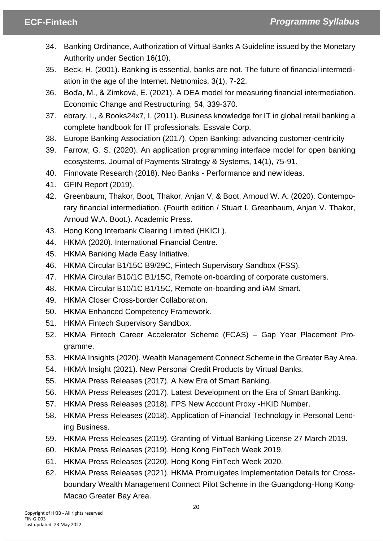- 34. Banking Ordinance, Authorization of Virtual Banks A Guideline issued by the Monetary Authority under Section 16(10).
- 35. Beck, H. (2001). Banking is essential, banks are not. The future of financial intermediation in the age of the Internet. Netnomics, 3(1), 7-22.
- 36. Boďa, M., & Zimková, E. (2021). A DEA model for measuring financial intermediation. Economic Change and Restructuring, 54, 339-370.
- 37. ebrary, I., & Books24x7, I. (2011). Business knowledge for IT in global retail banking a complete handbook for IT professionals. Essvale Corp.
- 38. Europe Banking Association (2017). Open Banking: advancing customer-centricity
- 39. Farrow, G. S. (2020). An application programming interface model for open banking ecosystems. Journal of Payments Strategy & Systems, 14(1), 75-91.
- 40. Finnovate Research (2018). Neo Banks Performance and new ideas.
- 41. GFIN Report (2019).
- 42. Greenbaum, Thakor, Boot, Thakor, Anjan V, & Boot, Arnoud W. A. (2020). Contemporary financial intermediation. (Fourth edition / Stuart I. Greenbaum, Anjan V. Thakor, Arnoud W.A. Boot.). Academic Press.
- 43. Hong Kong Interbank Clearing Limited (HKICL).
- 44. HKMA (2020). International Financial Centre.
- 45. HKMA Banking Made Easy Initiative.
- 46. HKMA Circular B1/15C B9/29C, Fintech Supervisory Sandbox (FSS).
- 47. HKMA Circular B10/1C B1/15C, Remote on-boarding of corporate customers.
- 48. HKMA Circular B10/1C B1/15C, Remote on-boarding and iAM Smart.
- 49. HKMA Closer Cross-border Collaboration.
- 50. HKMA Enhanced Competency Framework.
- 51. HKMA Fintech Supervisory Sandbox.
- 52. HKMA Fintech Career Accelerator Scheme (FCAS) Gap Year Placement Programme.
- 53. HKMA Insights (2020). Wealth Management Connect Scheme in the Greater Bay Area.
- 54. HKMA Insight (2021). New Personal Credit Products by Virtual Banks.
- 55. HKMA Press Releases (2017). A New Era of Smart Banking.
- 56. HKMA Press Releases (2017). Latest Development on the Era of Smart Banking.
- 57. HKMA Press Releases (2018). FPS New Account Proxy -HKID Number.
- 58. HKMA Press Releases (2018). Application of Financial Technology in Personal Lending Business.
- 59. HKMA Press Releases (2019). Granting of Virtual Banking License 27 March 2019.
- 60. HKMA Press Releases (2019). Hong Kong FinTech Week 2019.
- 61. HKMA Press Releases (2020). Hong Kong FinTech Week 2020.
- 62. HKMA Press Releases (2021). HKMA Promulgates Implementation Details for Crossboundary Wealth Management Connect Pilot Scheme in the Guangdong-Hong Kong-Macao Greater Bay Area.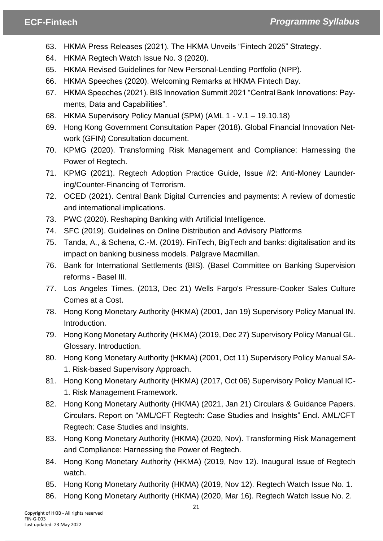- 63. HKMA Press Releases (2021). The HKMA Unveils "Fintech 2025" Strategy.
- 64. HKMA Regtech Watch Issue No. 3 (2020).
- 65. HKMA Revised Guidelines for New Personal-Lending Portfolio (NPP).
- 66. HKMA Speeches (2020). Welcoming Remarks at HKMA Fintech Day.
- 67. HKMA Speeches (2021). BIS Innovation Summit 2021 "Central Bank Innovations: Payments, Data and Capabilities".
- 68. HKMA Supervisory Policy Manual (SPM) (AML 1 V.1 19.10.18)
- 69. Hong Kong Government Consultation Paper (2018). Global Financial Innovation Network (GFIN) Consultation document.
- 70. KPMG (2020). Transforming Risk Management and Compliance: Harnessing the Power of Regtech.
- 71. KPMG (2021). Regtech Adoption Practice Guide, Issue #2: Anti-Money Laundering/Counter-Financing of Terrorism.
- 72. OCED (2021). Central Bank Digital Currencies and payments: A review of domestic and international implications.
- 73. PWC (2020). Reshaping Banking with Artificial Intelligence.
- 74. SFC (2019). Guidelines on Online Distribution and Advisory Platforms
- 75. Tanda, A., & Schena, C.-M. (2019). FinTech, BigTech and banks: digitalisation and its impact on banking business models. Palgrave Macmillan.
- 76. Bank for International Settlements (BIS). (Basel Committee on Banking Supervision reforms - Basel III.
- 77. Los Angeles Times. (2013, Dec 21) Wells Fargo's Pressure-Cooker Sales Culture Comes at a Cost.
- 78. Hong Kong Monetary Authority (HKMA) (2001, Jan 19) Supervisory Policy Manual IN. Introduction.
- 79. Hong Kong Monetary Authority (HKMA) (2019, Dec 27) Supervisory Policy Manual GL. Glossary. Introduction.
- 80. Hong Kong Monetary Authority (HKMA) (2001, Oct 11) Supervisory Policy Manual SA-1. Risk-based Supervisory Approach.
- 81. Hong Kong Monetary Authority (HKMA) (2017, Oct 06) Supervisory Policy Manual IC-1. Risk Management Framework.
- 82. Hong Kong Monetary Authority (HKMA) (2021, Jan 21) Circulars & Guidance Papers. Circulars. Report on "AML/CFT Regtech: Case Studies and Insights" Encl. AML/CFT Regtech: Case Studies and Insights.
- 83. Hong Kong Monetary Authority (HKMA) (2020, Nov). Transforming Risk Management and Compliance: Harnessing the Power of Regtech.
- 84. Hong Kong Monetary Authority (HKMA) (2019, Nov 12). Inaugural Issue of Regtech watch.
- 85. Hong Kong Monetary Authority (HKMA) (2019, Nov 12). Regtech Watch Issue No. 1.
- 86. Hong Kong Monetary Authority (HKMA) (2020, Mar 16). Regtech Watch Issue No. 2.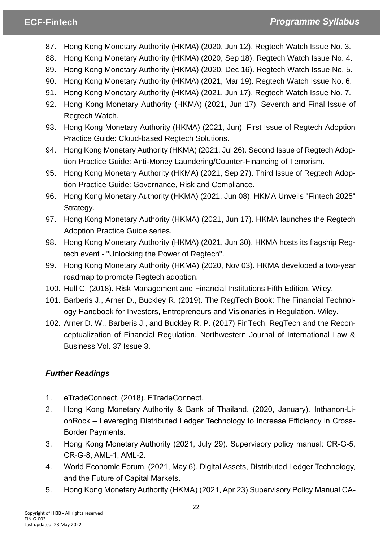- 87. Hong Kong Monetary Authority (HKMA) (2020, Jun 12). Regtech Watch Issue No. 3.
- 88. Hong Kong Monetary Authority (HKMA) (2020, Sep 18). Regtech Watch Issue No. 4.
- 89. Hong Kong Monetary Authority (HKMA) (2020, Dec 16). Regtech Watch Issue No. 5.
- 90. Hong Kong Monetary Authority (HKMA) (2021, Mar 19). Regtech Watch Issue No. 6.
- 91. Hong Kong Monetary Authority (HKMA) (2021, Jun 17). Regtech Watch Issue No. 7.
- 92. Hong Kong Monetary Authority (HKMA) (2021, Jun 17). Seventh and Final Issue of Regtech Watch.
- 93. Hong Kong Monetary Authority (HKMA) (2021, Jun). First Issue of Regtech Adoption Practice Guide: Cloud-based Regtech Solutions.
- 94. Hong Kong Monetary Authority (HKMA) (2021, Jul 26). Second Issue of Regtech Adoption Practice Guide: Anti-Money Laundering/Counter-Financing of Terrorism.
- 95. Hong Kong Monetary Authority (HKMA) (2021, Sep 27). Third Issue of Regtech Adoption Practice Guide: Governance, Risk and Compliance.
- 96. Hong Kong Monetary Authority (HKMA) (2021, Jun 08). HKMA Unveils "Fintech 2025" Strategy.
- 97. Hong Kong Monetary Authority (HKMA) (2021, Jun 17). HKMA launches the Regtech Adoption Practice Guide series.
- 98. Hong Kong Monetary Authority (HKMA) (2021, Jun 30). HKMA hosts its flagship Regtech event - "Unlocking the Power of Regtech".
- 99. Hong Kong Monetary Authority (HKMA) (2020, Nov 03). HKMA developed a two-year roadmap to promote Regtech adoption.
- 100. Hull C. (2018). Risk Management and Financial Institutions Fifth Edition. Wiley.
- 101. Barberis J., Arner D., Buckley R. (2019). The RegTech Book: The Financial Technology Handbook for Investors, Entrepreneurs and Visionaries in Regulation. Wiley.
- 102. Arner D. W., Barberis J., and Buckley R. P. (2017) FinTech, RegTech and the Reconceptualization of Financial Regulation. Northwestern Journal of International Law & Business Vol. 37 Issue 3.

# *Further Readings*

- 1. eTradeConnect. (2018). ETradeConnect.
- 2. Hong Kong Monetary Authority & Bank of Thailand. (2020, January). Inthanon-LionRock – Leveraging Distributed Ledger Technology to Increase Efficiency in Cross-Border Payments.
- 3. Hong Kong Monetary Authority (2021, July 29). Supervisory policy manual: CR-G-5, CR-G-8, AML-1, AML-2.
- 4. World Economic Forum. (2021, May 6). Digital Assets, Distributed Ledger Technology, and the Future of Capital Markets.
- 5. Hong Kong Monetary Authority (HKMA) (2021, Apr 23) Supervisory Policy Manual CA-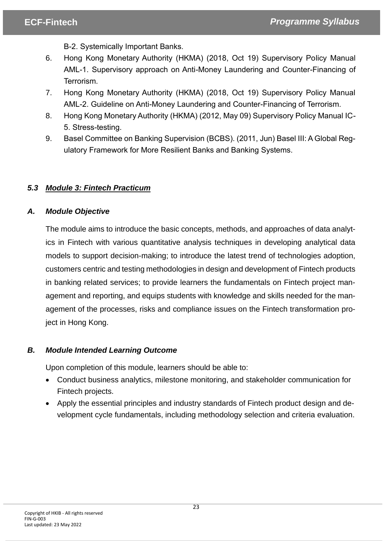B-2. Systemically Important Banks.

- 6. Hong Kong Monetary Authority (HKMA) (2018, Oct 19) Supervisory Policy Manual AML-1. Supervisory approach on Anti-Money Laundering and Counter-Financing of Terrorism.
- 7. Hong Kong Monetary Authority (HKMA) (2018, Oct 19) Supervisory Policy Manual AML-2. Guideline on Anti-Money Laundering and Counter-Financing of Terrorism.
- 8. Hong Kong Monetary Authority (HKMA) (2012, May 09) Supervisory Policy Manual IC-5. Stress-testing.
- 9. Basel Committee on Banking Supervision (BCBS). (2011, Jun) Basel III: A Global Regulatory Framework for More Resilient Banks and Banking Systems.

# <span id="page-22-0"></span>*5.3 Module 3: Fintech Practicum*

# *A. Module Objective*

The module aims to introduce the basic concepts, methods, and approaches of data analytics in Fintech with various quantitative analysis techniques in developing analytical data models to support decision-making; to introduce the latest trend of technologies adoption, customers centric and testing methodologies in design and development of Fintech products in banking related services; to provide learners the fundamentals on Fintech project management and reporting, and equips students with knowledge and skills needed for the management of the processes, risks and compliance issues on the Fintech transformation project in Hong Kong.

# *B. Module Intended Learning Outcome*

Upon completion of this module, learners should be able to:

- Conduct business analytics, milestone monitoring, and stakeholder communication for Fintech projects.
- Apply the essential principles and industry standards of Fintech product design and development cycle fundamentals, including methodology selection and criteria evaluation.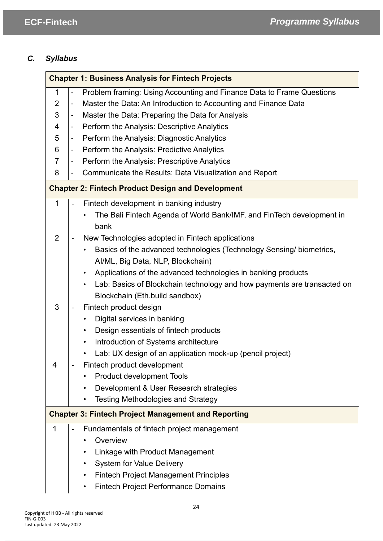# *C. Syllabus*

| <b>Chapter 1: Business Analysis for Fintech Projects</b> |                          |                                                                         |  |
|----------------------------------------------------------|--------------------------|-------------------------------------------------------------------------|--|
| $\mathbf{1}$                                             | $\overline{\phantom{a}}$ | Problem framing: Using Accounting and Finance Data to Frame Questions   |  |
| $\overline{2}$                                           | $\overline{\phantom{a}}$ | Master the Data: An Introduction to Accounting and Finance Data         |  |
| 3                                                        | $\overline{\phantom{a}}$ | Master the Data: Preparing the Data for Analysis                        |  |
| 4                                                        | $\blacksquare$           | Perform the Analysis: Descriptive Analytics                             |  |
| 5                                                        | $\blacksquare$           | Perform the Analysis: Diagnostic Analytics                              |  |
| 6                                                        | $\blacksquare$           | Perform the Analysis: Predictive Analytics                              |  |
| $\overline{7}$                                           | $\overline{\phantom{a}}$ | Perform the Analysis: Prescriptive Analytics                            |  |
| 8                                                        | $\overline{\phantom{a}}$ | Communicate the Results: Data Visualization and Report                  |  |
|                                                          |                          | <b>Chapter 2: Fintech Product Design and Development</b>                |  |
| $\mathbf{1}$                                             |                          | Fintech development in banking industry                                 |  |
|                                                          |                          | The Bali Fintech Agenda of World Bank/IMF, and FinTech development in   |  |
|                                                          |                          | bank                                                                    |  |
| 2                                                        |                          | New Technologies adopted in Fintech applications                        |  |
|                                                          |                          | Basics of the advanced technologies (Technology Sensing/ biometrics,    |  |
|                                                          |                          | Al/ML, Big Data, NLP, Blockchain)                                       |  |
|                                                          |                          | Applications of the advanced technologies in banking products           |  |
|                                                          |                          | Lab: Basics of Blockchain technology and how payments are transacted on |  |
|                                                          |                          | Blockchain (Eth.build sandbox)                                          |  |
| 3                                                        |                          | Fintech product design                                                  |  |
|                                                          |                          | Digital services in banking                                             |  |
|                                                          |                          | Design essentials of fintech products<br>$\bullet$                      |  |
|                                                          |                          | Introduction of Systems architecture<br>$\bullet$                       |  |
|                                                          |                          | Lab: UX design of an application mock-up (pencil project)               |  |
| 4                                                        |                          | Fintech product development                                             |  |
|                                                          |                          | <b>Product development Tools</b>                                        |  |
|                                                          |                          | Development & User Research strategies                                  |  |
|                                                          |                          | <b>Testing Methodologies and Strategy</b>                               |  |
|                                                          |                          | <b>Chapter 3: Fintech Project Management and Reporting</b>              |  |
| $\mathbf 1$                                              |                          | Fundamentals of fintech project management                              |  |
|                                                          |                          | Overview                                                                |  |
|                                                          |                          | Linkage with Product Management                                         |  |
|                                                          |                          | <b>System for Value Delivery</b>                                        |  |
|                                                          |                          | <b>Fintech Project Management Principles</b>                            |  |
|                                                          |                          | <b>Fintech Project Performance Domains</b>                              |  |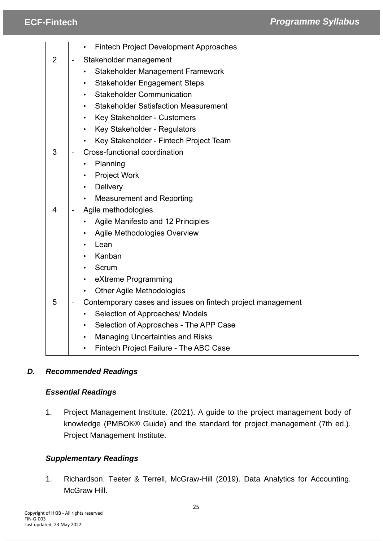# **ECF-Fintech** *Background BCF-Fintech Background***</del> <b>***Background Brogramme Syllabus*

|                |                        | <b>Fintech Project Development Approaches</b><br>$\bullet$  |
|----------------|------------------------|-------------------------------------------------------------|
| $\overline{2}$ | Stakeholder management |                                                             |
|                |                        | <b>Stakeholder Management Framework</b>                     |
|                |                        | <b>Stakeholder Engagement Steps</b>                         |
|                |                        | <b>Stakeholder Communication</b>                            |
|                |                        | <b>Stakeholder Satisfaction Measurement</b>                 |
|                |                        | Key Stakeholder - Customers<br>$\bullet$                    |
|                |                        | Key Stakeholder - Regulators                                |
|                |                        | Key Stakeholder - Fintech Project Team                      |
| 3              |                        | Cross-functional coordination                               |
|                |                        | Planning                                                    |
|                |                        | <b>Project Work</b>                                         |
|                |                        | Delivery                                                    |
|                |                        | <b>Measurement and Reporting</b>                            |
| 4              |                        | Agile methodologies                                         |
|                |                        | Agile Manifesto and 12 Principles                           |
|                |                        | Agile Methodologies Overview                                |
|                |                        | Lean                                                        |
|                |                        | Kanban                                                      |
|                |                        | Scrum                                                       |
|                |                        | eXtreme Programming                                         |
|                |                        | <b>Other Agile Methodologies</b>                            |
| 5              |                        | Contemporary cases and issues on fintech project management |
|                |                        | Selection of Approaches/ Models                             |
|                |                        | Selection of Approaches - The APP Case<br>$\bullet$         |
|                |                        | <b>Managing Uncertainties and Risks</b><br>$\bullet$        |
|                |                        | Fintech Project Failure - The ABC Case<br>$\bullet$         |

# *D. Recommended Readings*

### *Essential Readings*

1. Project Management Institute. (2021). A guide to the project management body of knowledge (PMBOK® Guide) and the standard for project management (7th ed.). Project Management Institute.

# *Supplementary Readings*

1. Richardson, Teeter & Terrell, McGraw-Hill (2019). Data Analytics for Accounting. McGraw Hill.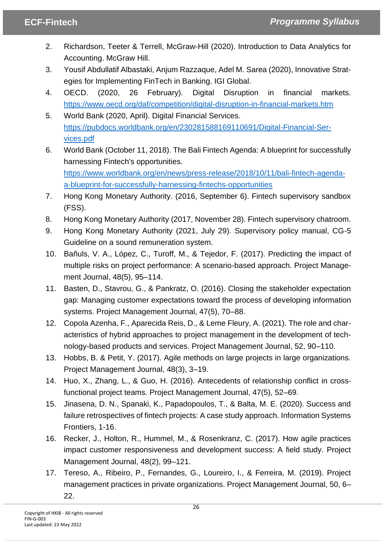- 2. Richardson, Teeter & Terrell, McGraw-Hill (2020). Introduction to Data Analytics for Accounting. McGraw Hill.
- 3. Yousif Abdullatif Albastaki, Anjum Razzaque, Adel M. Sarea (2020), Innovative Strategies for Implementing FinTech in Banking. IGI Global.
- 4. OECD. (2020, 26 February). Digital Disruption in financial markets. <https://www.oecd.org/daf/competition/digital-disruption-in-financial-markets.htm>
- 5. World Bank (2020, April). Digital Financial Services. [https://pubdocs.worldbank.org/en/230281588169110691/Digital-Financial-Ser](https://pubdocs.worldbank.org/en/230281588169110691/Digital-Financial-Services.pdf)[vices.pdf](https://pubdocs.worldbank.org/en/230281588169110691/Digital-Financial-Services.pdf)
- 6. World Bank (October 11, 2018). The Bali Fintech Agenda: A blueprint for successfully harnessing Fintech's opportunities. [https://www.worldbank.org/en/news/press-release/2018/10/11/bali-fintech-agenda](https://www.worldbank.org/en/news/press-release/2018/10/11/bali-fintech-agenda-a-blueprint-for-successfully-harnessing-fintechs-opportunities)[a-blueprint-for-successfully-harnessing-fintechs-opportunities](https://www.worldbank.org/en/news/press-release/2018/10/11/bali-fintech-agenda-a-blueprint-for-successfully-harnessing-fintechs-opportunities)
- 7. Hong Kong Monetary Authority. (2016, September 6). Fintech supervisory sandbox (FSS).
- 8. Hong Kong Monetary Authority (2017, November 28). Fintech supervisory chatroom.
- 9. Hong Kong Monetary Authority (2021, July 29). Supervisory policy manual, CG-5 Guideline on a sound remuneration system.
- 10. Bañuls, V. A., López, C., Turoff, M., & Tejedor, F. (2017). Predicting the impact of multiple risks on project performance: A scenario-based approach. Project Management Journal, 48(5), 95–114.
- 11. Basten, D., Stavrou, G., & Pankratz, O. (2016). Closing the stakeholder expectation gap: Managing customer expectations toward the process of developing information systems. Project Management Journal, 47(5), 70–88.
- 12. Copola Azenha, F., Aparecida Reis, D., & Leme Fleury, A. (2021). The role and characteristics of hybrid approaches to project management in the development of technology-based products and services. Project Management Journal, 52, 90–110.
- 13. Hobbs, B. & Petit, Y. (2017). Agile methods on large projects in large organizations. Project Management Journal, 48(3), 3–19.
- 14. Huo, X., Zhang, L., & Guo, H. (2016). Antecedents of relationship conflict in crossfunctional project teams. Project Management Journal, 47(5), 52–69.
- 15. Jinasena, D. N., Spanaki, K., Papadopoulos, T., & Balta, M. E. (2020). Success and failure retrospectives of fintech projects: A case study approach. Information Systems Frontiers, 1-16.
- 16. Recker, J., Holton, R., Hummel, M., & Rosenkranz, C. (2017). How agile practices impact customer responsiveness and development success: A field study. Project Management Journal, 48(2), 99–121.
- 17. Tereso, A., Ribeiro, P., Fernandes, G., Loureiro, I., & Ferreira, M. (2019). Project management practices in private organizations. Project Management Journal, 50, 6– 22.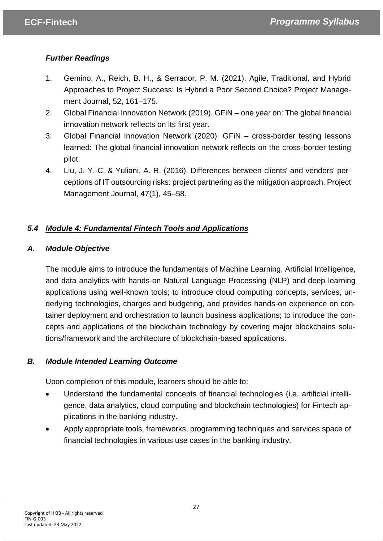# *Further Readings*

- 1. Gemino, A., Reich, B. H., & Serrador, P. M. (2021). Agile, Traditional, and Hybrid Approaches to Project Success: Is Hybrid a Poor Second Choice? Project Management Journal, 52, 161–175.
- 2. Global Financial Innovation Network (2019). GFiN one year on: The global financial innovation network reflects on its first year.
- 3. Global Financial Innovation Network (2020). GFiN cross-border testing lessons learned: The global financial innovation network reflects on the cross-border testing pilot.
- 4. Liu, J. Y.-C. & Yuliani, A. R. (2016). Differences between clients' and vendors' perceptions of IT outsourcing risks: project partnering as the mitigation approach. Project Management Journal, 47(1), 45–58.

# <span id="page-26-0"></span>*5.4 Module 4: Fundamental Fintech Tools and Applications*

# *A. Module Objective*

The module aims to introduce the fundamentals of Machine Learning, Artificial Intelligence, and data analytics with hands-on Natural Language Processing (NLP) and deep learning applications using well-known tools; to introduce cloud computing concepts, services, underlying technologies, charges and budgeting, and provides hands-on experience on container deployment and orchestration to launch business applications; to introduce the concepts and applications of the blockchain technology by covering major blockchains solutions/framework and the architecture of blockchain-based applications.

# *B. Module Intended Learning Outcome*

Upon completion of this module, learners should be able to:

- Understand the fundamental concepts of financial technologies (i.e. artificial intelligence, data analytics, cloud computing and blockchain technologies) for Fintech applications in the banking industry.
- Apply appropriate tools, frameworks, programming techniques and services space of financial technologies in various use cases in the banking industry.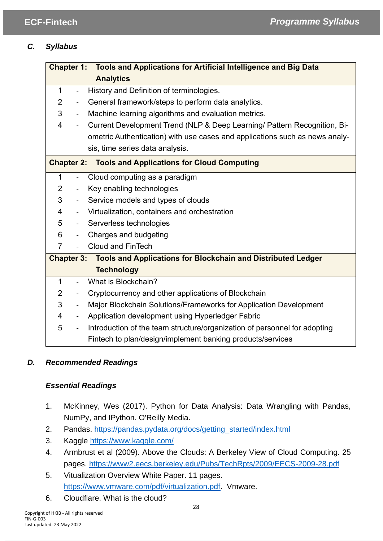# *C. Syllabus*

| <b>Chapter 1: Tools and Applications for Artificial Intelligence and Big Data</b> |                                                                                                           |  |
|-----------------------------------------------------------------------------------|-----------------------------------------------------------------------------------------------------------|--|
|                                                                                   | <b>Analytics</b>                                                                                          |  |
| 1                                                                                 | History and Definition of terminologies.<br>$\overline{\phantom{0}}$                                      |  |
| $\overline{2}$                                                                    | General framework/steps to perform data analytics.<br>-                                                   |  |
| 3                                                                                 | Machine learning algorithms and evaluation metrics.<br>$\overline{\phantom{0}}$                           |  |
| 4                                                                                 | Current Development Trend (NLP & Deep Learning/ Pattern Recognition, Bi-<br>$\qquad \qquad \blacksquare$  |  |
|                                                                                   | ometric Authentication) with use cases and applications such as news analy-                               |  |
|                                                                                   | sis, time series data analysis.                                                                           |  |
| <b>Chapter 2:</b>                                                                 | <b>Tools and Applications for Cloud Computing</b>                                                         |  |
| $\mathbf{1}$                                                                      | Cloud computing as a paradigm<br>$\qquad \qquad \blacksquare$                                             |  |
| 2                                                                                 | Key enabling technologies<br>$\overline{\phantom{0}}$                                                     |  |
| 3                                                                                 | Service models and types of clouds<br>$\overline{\phantom{0}}$                                            |  |
| 4                                                                                 | Virtualization, containers and orchestration<br>$\overline{\phantom{0}}$                                  |  |
| 5                                                                                 | Serverless technologies<br>$\overline{\phantom{a}}$                                                       |  |
| 6                                                                                 | Charges and budgeting<br>$\overline{\phantom{0}}$                                                         |  |
| $\overline{7}$                                                                    | <b>Cloud and FinTech</b><br>$\qquad \qquad \blacksquare$                                                  |  |
| <b>Chapter 3: Tools and Applications for Blockchain and Distributed Ledger</b>    |                                                                                                           |  |
|                                                                                   | <b>Technology</b>                                                                                         |  |
| $\mathbf{1}$                                                                      | What is Blockchain?<br>$\blacksquare$                                                                     |  |
| 2                                                                                 | Cryptocurrency and other applications of Blockchain<br>$\overline{\phantom{a}}$                           |  |
| 3                                                                                 | Major Blockchain Solutions/Frameworks for Application Development<br>-                                    |  |
| 4                                                                                 | Application development using Hyperledger Fabric<br>$\overline{\phantom{0}}$                              |  |
| 5                                                                                 | Introduction of the team structure/organization of personnel for adopting<br>$\qquad \qquad \blacksquare$ |  |
|                                                                                   | Fintech to plan/design/implement banking products/services                                                |  |

# *D. Recommended Readings*

# *Essential Readings*

- 1. McKinney, Wes (2017). Python for Data Analysis: Data Wrangling with Pandas, NumPy, and IPython. O'Reilly Media.
- 2. Pandas. [https://pandas.pydata.org/docs/getting\\_started/index.html](https://pandas.pydata.org/docs/getting_started/index.html)
- 3. Kaggle<https://www.kaggle.com/>
- 4. Armbrust et al (2009). Above the Clouds: A Berkeley View of Cloud Computing. 25 pages.<https://www2.eecs.berkeley.edu/Pubs/TechRpts/2009/EECS-2009-28.pdf>
- 5. Vitualization Overview White Paper. 11 pages. [https://www.vmware.com/pdf/virtualization.pdf.](https://www.vmware.com/pdf/virtualization.pdf) Vmware.
- 6. Cloudflare. What is the cloud?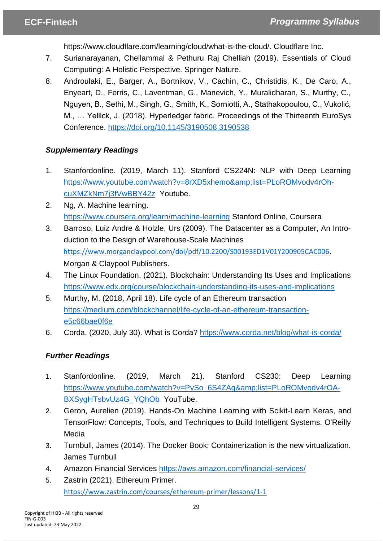https://www.cloudflare.com/learning/cloud/what-is-the-cloud/. Cloudflare Inc.

- 7. Surianarayanan, Chellammal & Pethuru Raj Chelliah (2019). Essentials of Cloud Computing: A Holistic Perspective. Springer Nature.
- 8. Androulaki, E., Barger, A., Bortnikov, V., Cachin, C., Christidis, K., De Caro, A., Enyeart, D., Ferris, C., Laventman, G., Manevich, Y., Muralidharan, S., Murthy, C., Nguyen, B., Sethi, M., Singh, G., Smith, K., Sorniotti, A., Stathakopoulou, C., Vukolić, M., … Yellick, J. (2018). Hyperledger fabric. Proceedings of the Thirteenth EuroSys Conference.<https://doi.org/10.1145/3190508.3190538>

# *Supplementary Readings*

- 1. Stanfordonline. (2019, March 11). Stanford CS224N: NLP with Deep Learning [https://www.youtube.com/watch?v=8rXD5xhemo&list=PLoROMvodv4rOh](https://www.youtube.com/watch?v=8rXD5xhemo&list=PLoROMvodv4rOhcuXMZkNm7j3fVwBBY42z)[cuXMZkNm7j3fVwBBY42z](https://www.youtube.com/watch?v=8rXD5xhemo&list=PLoROMvodv4rOhcuXMZkNm7j3fVwBBY42z) Youtube.
- 2. Ng, A. Machine learning. <https://www.coursera.org/learn/machine-learning> Stanford Online, Coursera
- 3. Barroso, Luiz Andre & Holzle, Urs (2009). The Datacenter as a Computer, An Introduction to the Design of Warehouse-Scale Machines <https://www.morganclaypool.com/doi/pdf/10.2200/S00193ED1V01Y200905CAC006>. Morgan & Claypool Publishers.
- 4. The Linux Foundation. (2021). Blockchain: Understanding Its Uses and Implications <https://www.edx.org/course/blockchain-understanding-its-uses-and-implications>
- 5. Murthy, M. (2018, April 18). Life cycle of an Ethereum transaction [https://medium.com/blockchannel/life-cycle-of-an-ethereum-transaction](https://medium.com/blockchannel/life-cycle-of-an-ethereum-transaction-e5c66bae0f6e)[e5c66bae0f6e](https://medium.com/blockchannel/life-cycle-of-an-ethereum-transaction-e5c66bae0f6e)
- 6. Corda. (2020, July 30). What is Corda?<https://www.corda.net/blog/what-is-corda/>

# *Further Readings*

- 1. Stanfordonline. (2019, March 21). Stanford CS230: Deep Learning [https://www.youtube.com/watch?v=PySo\\_6S4ZAg&list=PLoROMvodv4rOA-](https://www.youtube.com/watch?v=PySo_6S4ZAg&list=PLoROMvodv4rOABXSygHTsbvUz4G_YQhOb)BXSvaHTsbvUz4G YQhOb YouTube.
- 2. Geron, Aurelien (2019). Hands-On Machine Learning with Scikit-Learn Keras, and TensorFlow: Concepts, Tools, and Techniques to Build Intelligent Systems. O'Reilly Media
- 3. Turnbull, James (2014). The Docker Book: Containerization is the new virtualization. James Turnbull
- 4. Amazon Financial Services<https://aws.amazon.com/financial-services/>
- 5. Zastrin (2021). Ethereum Primer. <https://www.zastrin.com/courses/ethereum-primer/lessons/1-1>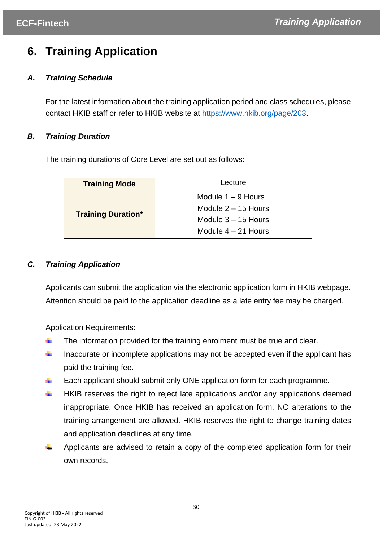# <span id="page-29-0"></span>**6. Training Application**

# *A. Training Schedule*

For the latest information about the training application period and class schedules, please contact HKIB staff or refer to HKIB website at [https://www.hkib.org/page/203.](https://www.hkib.org/page/203)

# *B. Training Duration*

The training durations of Core Level are set out as follows:

| <b>Training Mode</b>      | Lecture               |
|---------------------------|-----------------------|
|                           | Module $1 - 9$ Hours  |
|                           | Module $2 - 15$ Hours |
| <b>Training Duration*</b> | Module $3 - 15$ Hours |
|                           | Module $4 - 21$ Hours |

# *C. Training Application*

Applicants can submit the application via the electronic application form in HKIB webpage. Attention should be paid to the application deadline as a late entry fee may be charged.

Application Requirements:

- ÷ The information provided for the training enrolment must be true and clear.
- $\ddot{}$ Inaccurate or incomplete applications may not be accepted even if the applicant has paid the training fee.
- ÷ Each applicant should submit only ONE application form for each programme.
- ۰. HKIB reserves the right to reject late applications and/or any applications deemed inappropriate. Once HKIB has received an application form, NO alterations to the training arrangement are allowed. HKIB reserves the right to change training dates and application deadlines at any time.
- ÷ Applicants are advised to retain a copy of the completed application form for their own records.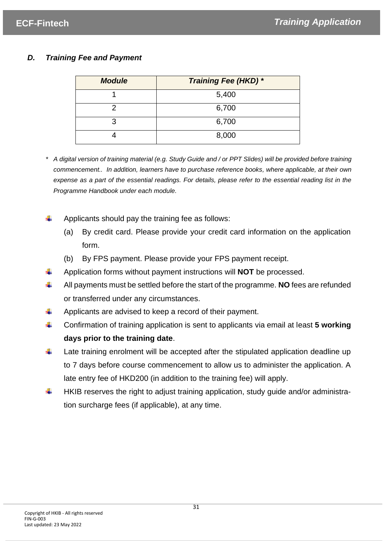# *D. Training Fee and Payment*

| <b>Module</b> | Training Fee (HKD) * |
|---------------|----------------------|
|               | 5,400                |
|               | 6,700                |
| 3             | 6,700                |
|               | 8,000                |

- *\* A digital version of training material (e.g. Study Guide and / or PPT Slides) will be provided before training commencement.. In addition, learners have to purchase reference books, where applicable, at their own expense as a part of the essential readings. For details, please refer to the essential reading list in the Programme Handbook under each module.*
- Applicants should pay the training fee as follows:
	- (a) By credit card. Please provide your credit card information on the application form.
	- (b) By FPS payment. Please provide your FPS payment receipt.
- 4. Application forms without payment instructions will **NOT** be processed.
- All payments must be settled before the start of the programme. **NO** fees are refunded ÷ or transferred under any circumstances.
- ÷ Applicants are advised to keep a record of their payment.
- ÷ Confirmation of training application is sent to applicants via email at least **5 working days prior to the training date**.
- ÷ Late training enrolment will be accepted after the stipulated application deadline up to 7 days before course commencement to allow us to administer the application. A late entry fee of HKD200 (in addition to the training fee) will apply.
- HKIB reserves the right to adjust training application, study guide and/or administration surcharge fees (if applicable), at any time.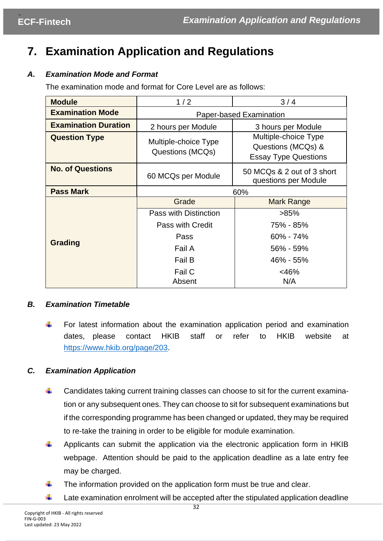# <span id="page-31-0"></span>**7. Examination Application and Regulations**

# *A. Examination Mode and Format*

The examination mode and format for Core Level are as follows:

| <b>Module</b>               | 1/2                                      | 3/4                                                                       |
|-----------------------------|------------------------------------------|---------------------------------------------------------------------------|
| <b>Examination Mode</b>     | Paper-based Examination                  |                                                                           |
| <b>Examination Duration</b> | 2 hours per Module                       | 3 hours per Module                                                        |
| <b>Question Type</b>        | Multiple-choice Type<br>Questions (MCQs) | Multiple-choice Type<br>Questions (MCQs) &<br><b>Essay Type Questions</b> |
| <b>No. of Questions</b>     | 60 MCQs per Module                       | 50 MCQs & 2 out of 3 short<br>questions per Module                        |
| <b>Pass Mark</b>            | 60%                                      |                                                                           |
| Grading                     | Grade                                    | Mark Range                                                                |
|                             | Pass with Distinction                    | $>85\%$                                                                   |
|                             | Pass with Credit                         | 75% - 85%                                                                 |
|                             | Pass                                     | $60\% - 74\%$                                                             |
|                             | Fail A                                   | 56% - 59%                                                                 |
|                             | Fail B                                   | 46% - 55%                                                                 |
|                             | Fail C                                   | <46%                                                                      |
|                             | Absent                                   | N/A                                                                       |

# *B. Examination Timetable*

÷ For latest information about the examination application period and examination dates, please contact HKIB staff or refer to HKIB website at [https://www.hkib.org/page/203.](https://www.hkib.org/page/203)

# *C. Examination Application*

- ÷ Candidates taking current training classes can choose to sit for the current examination or any subsequent ones. They can choose to sit for subsequent examinations but if the corresponding programme has been changed or updated, they may be required to re-take the training in order to be eligible for module examination.
- ÷ Applicants can submit the application via the electronic application form in HKIB webpage. Attention should be paid to the application deadline as a late entry fee may be charged.
- The information provided on the application form must be true and clear. ÷
- ÷ Late examination enrolment will be accepted after the stipulated application deadline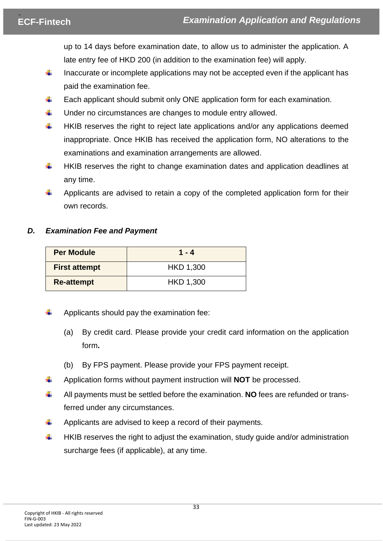up to 14 days before examination date, to allow us to administer the application. A late entry fee of HKD 200 (in addition to the examination fee) will apply.

- ₩ Inaccurate or incomplete applications may not be accepted even if the applicant has paid the examination fee.
- ÷ Each applicant should submit only ONE application form for each examination.
- ÷. Under no circumstances are changes to module entry allowed.
- ÷ HKIB reserves the right to reject late applications and/or any applications deemed inappropriate. Once HKIB has received the application form, NO alterations to the examinations and examination arrangements are allowed.
- ÷ HKIB reserves the right to change examination dates and application deadlines at any time.
- Applicants are advised to retain a copy of the completed application form for their ÷ own records.

# *D. Examination Fee and Payment*

| <b>Per Module</b>    | $1 - 4$   |
|----------------------|-----------|
| <b>First attempt</b> | HKD 1,300 |
| <b>Re-attempt</b>    | HKD 1,300 |

- Applicants should pay the examination fee:
	- (a) By credit card. Please provide your credit card information on the application form**.**
	- (b) By FPS payment. Please provide your FPS payment receipt.
- ÷ Application forms without payment instruction will **NOT** be processed.
- Ф. All payments must be settled before the examination. **NO** fees are refunded or transferred under any circumstances.
- ÷ Applicants are advised to keep a record of their payments.
- HKIB reserves the right to adjust the examination, study guide and/or administration ÷ surcharge fees (if applicable), at any time.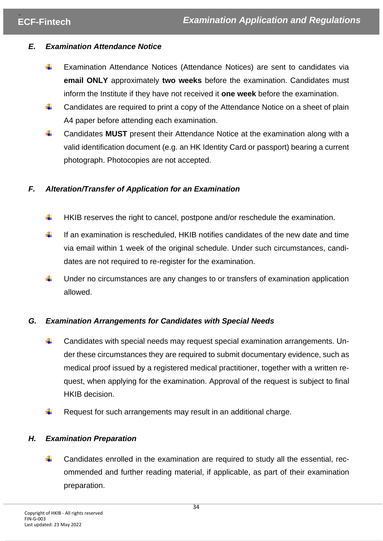# *E. Examination Attendance Notice*

- ÷ Examination Attendance Notices (Attendance Notices) are sent to candidates via **email ONLY** approximately **two weeks** before the examination. Candidates must inform the Institute if they have not received it **one week** before the examination.
- ÷ Candidates are required to print a copy of the Attendance Notice on a sheet of plain A4 paper before attending each examination.
- ÷ Candidates **MUST** present their Attendance Notice at the examination along with a valid identification document (e.g. an HK Identity Card or passport) bearing a current photograph. Photocopies are not accepted.

# *F. Alteration/Transfer of Application for an Examination*

- HKIB reserves the right to cancel, postpone and/or reschedule the examination. ÷
- ÷ If an examination is rescheduled, HKIB notifies candidates of the new date and time via email within 1 week of the original schedule. Under such circumstances, candidates are not required to re-register for the examination.
- Under no circumstances are any changes to or transfers of examination application allowed.

# *G. Examination Arrangements for Candidates with Special Needs*

- ÷. Candidates with special needs may request special examination arrangements. Under these circumstances they are required to submit documentary evidence, such as medical proof issued by a registered medical practitioner, together with a written request, when applying for the examination. Approval of the request is subject to final HKIB decision.
- Request for such arrangements may result in an additional charge. ÷

# *H. Examination Preparation*

Candidates enrolled in the examination are required to study all the essential, recommended and further reading material, if applicable, as part of their examination preparation.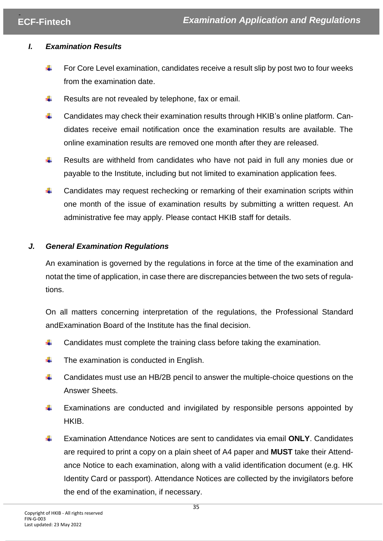# *I. Examination Results*

- ÷ For Core Level examination, candidates receive a result slip by post two to four weeks from the examination date.
- ш. Results are not revealed by telephone, fax or email.
- 4. Candidates may check their examination results through HKIB's online platform. Candidates receive email notification once the examination results are available. The online examination results are removed one month after they are released.
- ÷ Results are withheld from candidates who have not paid in full any monies due or payable to the Institute, including but not limited to examination application fees.
- Candidates may request rechecking or remarking of their examination scripts within one month of the issue of examination results by submitting a written request. An administrative fee may apply. Please contact HKIB staff for details.

# *J. General Examination Regulations*

An examination is governed by the regulations in force at the time of the examination and notat the time of application, in case there are discrepancies between the two sets of regulations.

On all matters concerning interpretation of the regulations, the Professional Standard andExamination Board of the Institute has the final decision.

- ÷ Candidates must complete the training class before taking the examination.
- ч. The examination is conducted in English.
- ÷. Candidates must use an HB/2B pencil to answer the multiple-choice questions on the Answer Sheets.
- ÷ Examinations are conducted and invigilated by responsible persons appointed by HKIB.
- $\ddot{}$ Examination Attendance Notices are sent to candidates via email **ONLY**. Candidates are required to print a copy on a plain sheet of A4 paper and **MUST** take their Attendance Notice to each examination, along with a valid identification document (e.g. HK Identity Card or passport). Attendance Notices are collected by the invigilators before the end of the examination, if necessary.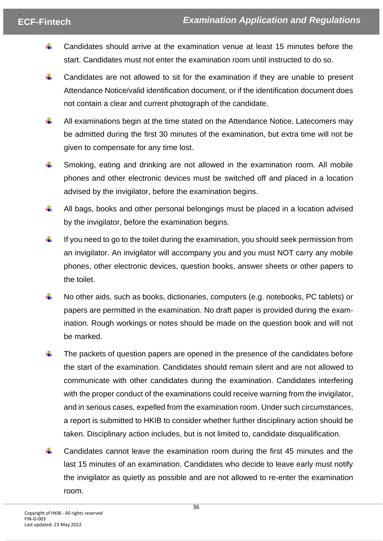- Candidates should arrive at the examination venue at least 15 minutes before the ÷. start. Candidates must not enter the examination room until instructed to do so.
- ÷. Candidates are not allowed to sit for the examination if they are unable to present Attendance Notice/valid identification document, or if the identification document does not contain a clear and current photograph of the candidate.
- ÷ All examinations begin at the time stated on the Attendance Notice. Latecomers may be admitted during the first 30 minutes of the examination, but extra time will not be given to compensate for any time lost.
- ÷ Smoking, eating and drinking are not allowed in the examination room. All mobile phones and other electronic devices must be switched off and placed in a location advised by the invigilator, before the examination begins.
- ÷. All bags, books and other personal belongings must be placed in a location advised by the invigilator, before the examination begins.
- ÷ If you need to go to the toilet during the examination, you should seek permission from an invigilator. An invigilator will accompany you and you must NOT carry any mobile phones, other electronic devices, question books, answer sheets or other papers to the toilet.
- ÷ No other aids, such as books, dictionaries, computers (e.g. notebooks, PC tablets) or papers are permitted in the examination. No draft paper is provided during the examination. Rough workings or notes should be made on the question book and will not be marked.
- The packets of question papers are opened in the presence of the candidates before ÷ the start of the examination. Candidates should remain silent and are not allowed to communicate with other candidates during the examination. Candidates interfering with the proper conduct of the examinations could receive warning from the invigilator, and in serious cases, expelled from the examination room. Under such circumstances, a report is submitted to HKIB to consider whether further disciplinary action should be taken. Disciplinary action includes, but is not limited to, candidate disqualification.
- Candidates cannot leave the examination room during the first 45 minutes and the last 15 minutes of an examination. Candidates who decide to leave early must notify the invigilator as quietly as possible and are not allowed to re-enter the examination room.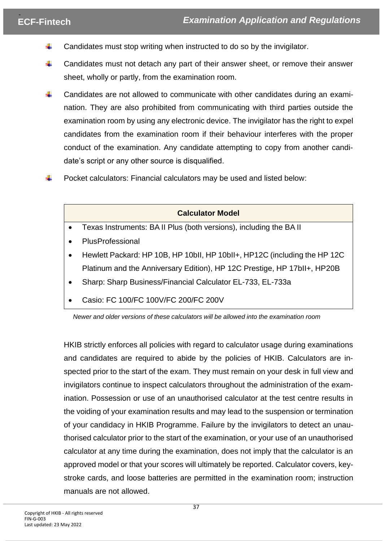- Candidates must stop writing when instructed to do so by the invigilator. ÷.
- $\ddot{}$ Candidates must not detach any part of their answer sheet, or remove their answer sheet, wholly or partly, from the examination room.
- ÷ Candidates are not allowed to communicate with other candidates during an examination. They are also prohibited from communicating with third parties outside the examination room by using any electronic device. The invigilator has the right to expel candidates from the examination room if their behaviour interferes with the proper conduct of the examination. Any candidate attempting to copy from another candidate's script or any other source is disqualified.
- Pocket calculators: Financial calculators may be used and listed below:



*Newer and older versions of these calculators will be allowed into the examination room*

HKIB strictly enforces all policies with regard to calculator usage during examinations and candidates are required to abide by the policies of HKIB. Calculators are inspected prior to the start of the exam. They must remain on your desk in full view and invigilators continue to inspect calculators throughout the administration of the examination. Possession or use of an unauthorised calculator at the test centre results in the voiding of your examination results and may lead to the suspension or termination of your candidacy in HKIB Programme. Failure by the invigilators to detect an unauthorised calculator prior to the start of the examination, or your use of an unauthorised calculator at any time during the examination, does not imply that the calculator is an approved model or that your scores will ultimately be reported. Calculator covers, keystroke cards, and loose batteries are permitted in the examination room; instruction manuals are not allowed.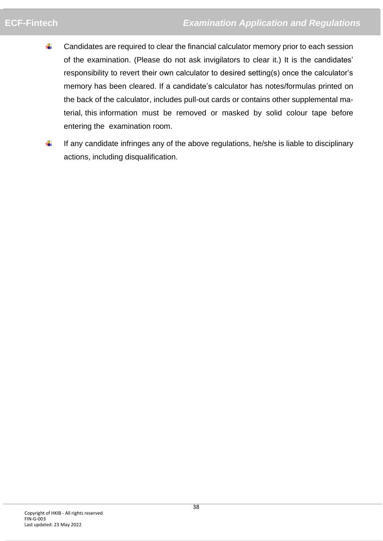- Candidates are required to clear the financial calculator memory prior to each session 4. of the examination. (Please do not ask invigilators to clear it.) It is the candidates' responsibility to revert their own calculator to desired setting(s) once the calculator's memory has been cleared. If a candidate's calculator has notes/formulas printed on the back of the calculator, includes pull-out cards or contains other supplemental material, this information must be removed or masked by solid colour tape before entering the examination room.
- ÷ If any candidate infringes any of the above regulations, he/she is liable to disciplinary actions, including disqualification.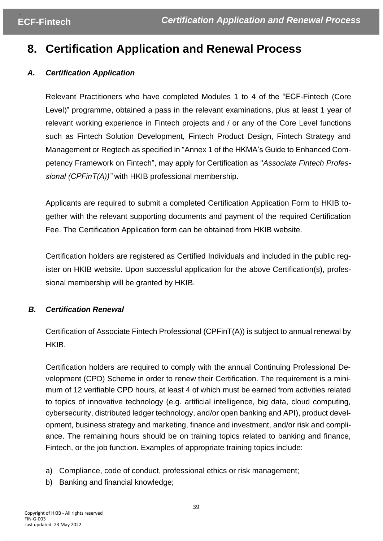# <span id="page-38-0"></span>**8. Certification Application and Renewal Process**

# *A. Certification Application*

Relevant Practitioners who have completed Modules 1 to 4 of the "ECF-Fintech (Core Level)" programme, obtained a pass in the relevant examinations, plus at least 1 year of relevant working experience in Fintech projects and / or any of the Core Level functions such as Fintech Solution Development, Fintech Product Design, Fintech Strategy and Management or Regtech as specified in "Annex 1 of the HKMA's Guide to Enhanced Competency Framework on Fintech", may apply for Certification as "*Associate Fintech Professional (CPFinT(A))"* with HKIB professional membership.

Applicants are required to submit a completed Certification Application Form to HKIB together with the relevant supporting documents and payment of the required Certification Fee. The Certification Application form can be obtained from [HKIB](https://www.hkib.org/en/training-examinations/ecf/retail-wealth-management) website.

Certification holders are registered as Certified Individuals and included in the public register on HKIB website. Upon successful application for the above Certification(s), professional membership will be granted by HKIB.

# *B. Certification Renewal*

Certification of Associate Fintech Professional (CPFinT(A)) is subject to annual renewal by HKIB.

Certification holders are required to comply with the annual Continuing Professional Development (CPD) Scheme in order to renew their Certification. The requirement is a minimum of 12 verifiable CPD hours, at least 4 of which must be earned from activities related to topics of innovative technology (e.g. artificial intelligence, big data, cloud computing, cybersecurity, distributed ledger technology, and/or open banking and API), product development, business strategy and marketing, finance and investment, and/or risk and compliance. The remaining hours should be on training topics related to banking and finance, Fintech, or the job function. Examples of appropriate training topics include:

- a) Compliance, code of conduct, professional ethics or risk management;
- b) Banking and financial knowledge;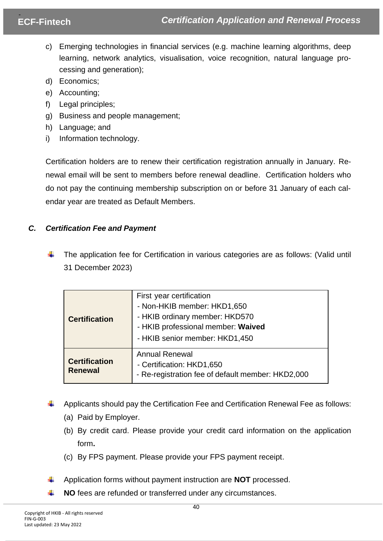- c) Emerging technologies in financial services (e.g. machine learning algorithms, deep learning, network analytics, visualisation, voice recognition, natural language processing and generation);
- d) Economics;
- e) Accounting;
- f) Legal principles;
- g) Business and people management;
- h) Language; and
- i) Information technology.

Certification holders are to renew their certification registration annually in January. Renewal email will be sent to members before renewal deadline. Certification holders who do not pay the continuing membership subscription on or before 31 January of each calendar year are treated as Default Members.

# *C. Certification Fee and Payment*

The application fee for Certification in various categories are as follows: (Valid until 31 December 2023)

| <b>Certification</b>                   | First year certification<br>- Non-HKIB member: HKD1,650<br>- HKIB ordinary member: HKD570<br>- HKIB professional member: Waived<br>- HKIB senior member: HKD1,450 |
|----------------------------------------|-------------------------------------------------------------------------------------------------------------------------------------------------------------------|
| <b>Certification</b><br><b>Renewal</b> | <b>Annual Renewal</b><br>- Certification: HKD1,650<br>- Re-registration fee of default member: HKD2,000                                                           |

- Applicants should pay the Certification Fee and Certification Renewal Fee as follows:
	- (a) Paid by Employer.
	- (b) By credit card. Please provide your credit card information on the application form**.**
	- (c) By FPS payment. Please provide your FPS payment receipt.
- Application forms without payment instruction are **NOT** processed.
- **NO** fees are refunded or transferred under any circumstances.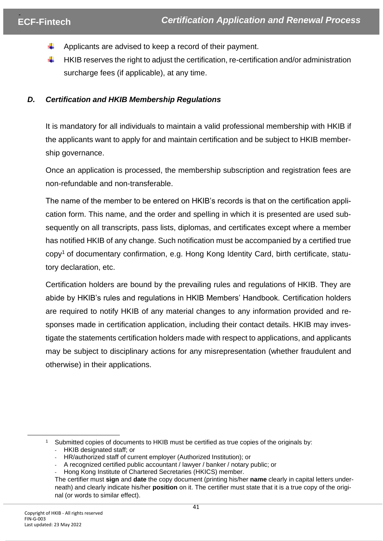- Applicants are advised to keep a record of their payment.
- HKIB reserves the right to adjust the certification, re-certification and/or administration surcharge fees (if applicable), at any time.

## *D. Certification and HKIB Membership Regulations*

It is mandatory for all individuals to maintain a valid professional membership with HKIB if the applicants want to apply for and maintain certification and be subject to HKIB membership governance.

Once an application is processed, the membership subscription and registration fees are non-refundable and non-transferable.

The name of the member to be entered on HKIB's records is that on the certification application form. This name, and the order and spelling in which it is presented are used subsequently on all transcripts, pass lists, diplomas, and certificates except where a member has notified HKIB of any change. Such notification must be accompanied by a certified true copy<sup>1</sup> of documentary confirmation, e.g. Hong Kong Identity Card, birth certificate, statutory declaration, etc.

Certification holders are bound by the prevailing rules and regulations of HKIB. They are abide by HKIB's rules and regulations in HKIB Members' Handbook. Certification holders are required to notify HKIB of any material changes to any information provided and responses made in certification application, including their contact details. HKIB may investigate the statements certification holders made with respect to applications, and applicants may be subject to disciplinary actions for any misrepresentation (whether fraudulent and otherwise) in their applications.

<sup>1</sup> Submitted copies of documents to HKIB must be certified as true copies of the originals by: - HKIB designated staff; or

<sup>-</sup> HR/authorized staff of current employer (Authorized Institution); or

<sup>-</sup> A recognized certified public accountant / lawyer / banker / notary public; or

Hong Kong Institute of Chartered Secretaries (HKICS) member.

The certifier must **sign** and **date** the copy document (printing his/her **name** clearly in capital letters underneath) and clearly indicate his/her **position** on it. The certifier must state that it is a true copy of the original (or words to similar effect).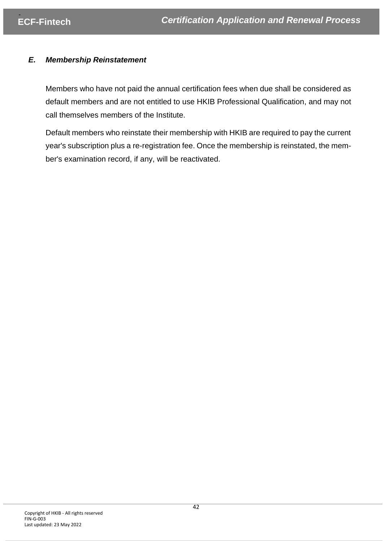# *E. Membership Reinstatement*

Members who have not paid the annual certification fees when due shall be considered as default members and are not entitled to use HKIB Professional Qualification, and may not call themselves members of the Institute.

Default members who reinstate their membership with HKIB are required to pay the current year's subscription plus a re-registration fee. Once the membership is reinstated, the member's examination record, if any, will be reactivated.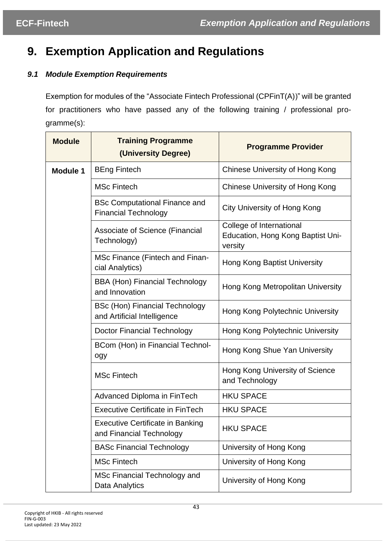# <span id="page-42-0"></span>**9. Exemption Application and Regulations**

# <span id="page-42-1"></span>*9.1 Module Exemption Requirements*

Exemption for modules of the "Associate Fintech Professional (CPFinT(A))" will be granted for practitioners who have passed any of the following training / professional programme(s):

| <b>Module</b>   | <b>Training Programme</b><br>(University Degree)                     | <b>Programme Provider</b>                                                |
|-----------------|----------------------------------------------------------------------|--------------------------------------------------------------------------|
| <b>Module 1</b> | <b>BEng Fintech</b>                                                  | <b>Chinese University of Hong Kong</b>                                   |
|                 | <b>MSc Fintech</b>                                                   | <b>Chinese University of Hong Kong</b>                                   |
|                 | <b>BSc Computational Finance and</b><br><b>Financial Technology</b>  | City University of Hong Kong                                             |
|                 | Associate of Science (Financial<br>Technology)                       | College of International<br>Education, Hong Kong Baptist Uni-<br>versity |
|                 | MSc Finance (Fintech and Finan-<br>cial Analytics)                   | Hong Kong Baptist University                                             |
|                 | <b>BBA (Hon) Financial Technology</b><br>and Innovation              | Hong Kong Metropolitan University                                        |
|                 | <b>BSc (Hon) Financial Technology</b><br>and Artificial Intelligence | Hong Kong Polytechnic University                                         |
|                 | <b>Doctor Financial Technology</b>                                   | Hong Kong Polytechnic University                                         |
|                 | BCom (Hon) in Financial Technol-<br>ogy                              | Hong Kong Shue Yan University                                            |
|                 | <b>MSc Fintech</b>                                                   | Hong Kong University of Science<br>and Technology                        |
|                 | Advanced Diploma in FinTech                                          | <b>HKU SPACE</b>                                                         |
|                 | <b>Executive Certificate in FinTech</b>                              | <b>HKU SPACE</b>                                                         |
|                 | <b>Executive Certificate in Banking</b><br>and Financial Technology  | <b>HKU SPACE</b>                                                         |
|                 | <b>BASc Financial Technology</b>                                     | University of Hong Kong                                                  |
|                 | <b>MSc Fintech</b>                                                   | University of Hong Kong                                                  |
|                 | MSc Financial Technology and<br>Data Analytics                       | University of Hong Kong                                                  |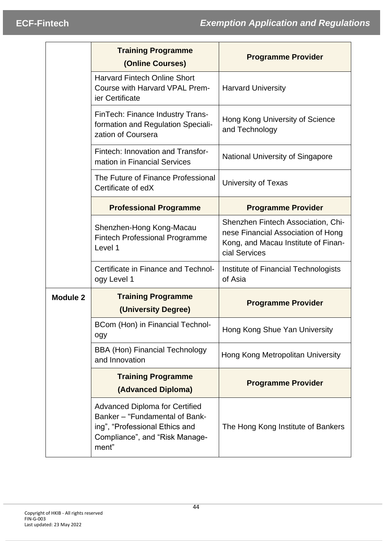|                 | <b>Training Programme</b><br>(Online Courses)                                                                                                        | <b>Programme Provider</b>                                                                                                        |
|-----------------|------------------------------------------------------------------------------------------------------------------------------------------------------|----------------------------------------------------------------------------------------------------------------------------------|
|                 | <b>Harvard Fintech Online Short</b><br>Course with Harvard VPAL Prem-<br>ier Certificate                                                             | <b>Harvard University</b>                                                                                                        |
|                 | FinTech: Finance Industry Trans-<br>formation and Regulation Speciali-<br>zation of Coursera                                                         | Hong Kong University of Science<br>and Technology                                                                                |
|                 | Fintech: Innovation and Transfor-<br>mation in Financial Services                                                                                    | <b>National University of Singapore</b>                                                                                          |
|                 | The Future of Finance Professional<br>Certificate of edX                                                                                             | <b>University of Texas</b>                                                                                                       |
|                 | <b>Professional Programme</b>                                                                                                                        | <b>Programme Provider</b>                                                                                                        |
|                 | Shenzhen-Hong Kong-Macau<br><b>Fintech Professional Programme</b><br>Level 1                                                                         | Shenzhen Fintech Association, Chi-<br>nese Financial Association of Hong<br>Kong, and Macau Institute of Finan-<br>cial Services |
|                 | Certificate in Finance and Technol-<br>ogy Level 1                                                                                                   | Institute of Financial Technologists<br>of Asia                                                                                  |
| <b>Module 2</b> | <b>Training Programme</b><br>(University Degree)                                                                                                     | <b>Programme Provider</b>                                                                                                        |
|                 | BCom (Hon) in Financial Technol-<br>ogy                                                                                                              | Hong Kong Shue Yan University                                                                                                    |
|                 | <b>BBA (Hon) Financial Technology</b><br>and Innovation                                                                                              | Hong Kong Metropolitan University                                                                                                |
|                 | <b>Training Programme</b><br>(Advanced Diploma)                                                                                                      | <b>Programme Provider</b>                                                                                                        |
|                 | <b>Advanced Diploma for Certified</b><br>Banker - "Fundamental of Bank-<br>ing", "Professional Ethics and<br>Compliance", and "Risk Manage-<br>ment" | The Hong Kong Institute of Bankers                                                                                               |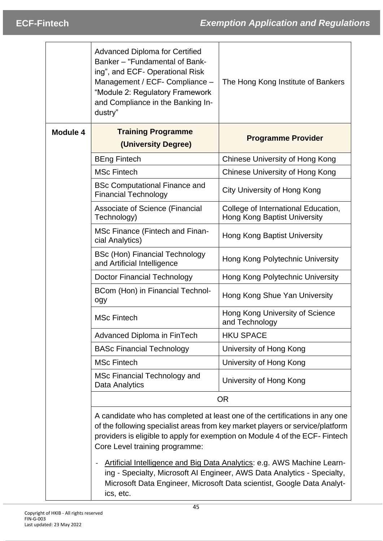|          | <b>Advanced Diploma for Certified</b><br>Banker - "Fundamental of Bank-<br>ing", and ECF- Operational Risk<br>Management / ECF- Compliance -<br>"Module 2: Regulatory Framework<br>and Compliance in the Banking In-<br>dustry" | The Hong Kong Institute of Bankers                                                                                                                                                                                                           |
|----------|---------------------------------------------------------------------------------------------------------------------------------------------------------------------------------------------------------------------------------|----------------------------------------------------------------------------------------------------------------------------------------------------------------------------------------------------------------------------------------------|
| Module 4 | <b>Training Programme</b><br>(University Degree)                                                                                                                                                                                | <b>Programme Provider</b>                                                                                                                                                                                                                    |
|          | <b>BEng Fintech</b>                                                                                                                                                                                                             | Chinese University of Hong Kong                                                                                                                                                                                                              |
|          | <b>MSc Fintech</b>                                                                                                                                                                                                              | Chinese University of Hong Kong                                                                                                                                                                                                              |
|          | <b>BSc Computational Finance and</b><br><b>Financial Technology</b>                                                                                                                                                             | City University of Hong Kong                                                                                                                                                                                                                 |
|          | Associate of Science (Financial<br>Technology)                                                                                                                                                                                  | College of International Education,<br><b>Hong Kong Baptist University</b>                                                                                                                                                                   |
|          | MSc Finance (Fintech and Finan-<br>cial Analytics)                                                                                                                                                                              | <b>Hong Kong Baptist University</b>                                                                                                                                                                                                          |
|          | <b>BSc (Hon) Financial Technology</b><br>and Artificial Intelligence                                                                                                                                                            | Hong Kong Polytechnic University                                                                                                                                                                                                             |
|          | <b>Doctor Financial Technology</b>                                                                                                                                                                                              | Hong Kong Polytechnic University                                                                                                                                                                                                             |
|          | BCom (Hon) in Financial Technol-<br>ogy                                                                                                                                                                                         | Hong Kong Shue Yan University                                                                                                                                                                                                                |
|          | <b>MSc Fintech</b>                                                                                                                                                                                                              | Hong Kong University of Science<br>and Technology                                                                                                                                                                                            |
|          | <b>Advanced Diploma in FinTech</b>                                                                                                                                                                                              | <b>HKU SPACE</b>                                                                                                                                                                                                                             |
|          | <b>BASc Financial Technology</b>                                                                                                                                                                                                | University of Hong Kong                                                                                                                                                                                                                      |
|          | <b>MSc Fintech</b>                                                                                                                                                                                                              | University of Hong Kong                                                                                                                                                                                                                      |
|          | MSc Financial Technology and<br>Data Analytics                                                                                                                                                                                  | University of Hong Kong                                                                                                                                                                                                                      |
|          |                                                                                                                                                                                                                                 | <b>OR</b>                                                                                                                                                                                                                                    |
|          | Core Level training programme:                                                                                                                                                                                                  | A candidate who has completed at least one of the certifications in any one<br>of the following specialist areas from key market players or service/platform<br>providers is eligible to apply for exemption on Module 4 of the ECF- Fintech |

Artificial Intelligence and Big Data Analytics: e.g. AWS Machine Learning - Specialty, Microsoft AI Engineer, AWS Data Analytics - Specialty, Microsoft Data Engineer, Microsoft Data scientist, Google Data Analytics, etc.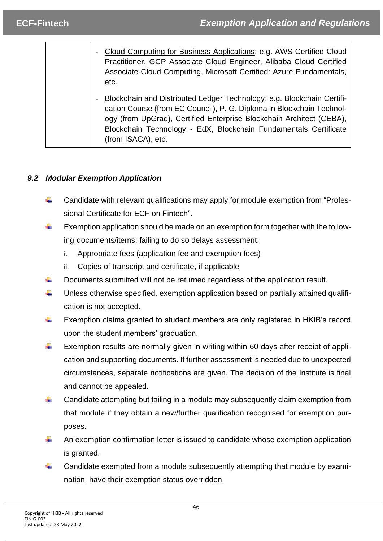| - Cloud Computing for Business Applications: e.g. AWS Certified Cloud<br>Practitioner, GCP Associate Cloud Engineer, Alibaba Cloud Certified<br>Associate-Cloud Computing, Microsoft Certified: Azure Fundamentals,<br>etc.                                                                                                         |
|-------------------------------------------------------------------------------------------------------------------------------------------------------------------------------------------------------------------------------------------------------------------------------------------------------------------------------------|
| Blockchain and Distributed Ledger Technology: e.g. Blockchain Certifi-<br>$\blacksquare$<br>cation Course (from EC Council), P. G. Diploma in Blockchain Technol-<br>ogy (from UpGrad), Certified Enterprise Blockchain Architect (CEBA),<br>Blockchain Technology - EdX, Blockchain Fundamentals Certificate<br>(from ISACA), etc. |

# <span id="page-45-0"></span>*9.2 Modular Exemption Application*

- Candidate with relevant qualifications may apply for module exemption from "Profes- $\ddot{}$ sional Certificate for ECF on Fintech".
- ÷ Exemption application should be made on an exemption form together with the following documents/items; failing to do so delays assessment:
	- i. Appropriate fees (application fee and exemption fees)
	- ii. Copies of transcript and certificate, if applicable
- ÷. Documents submitted will not be returned regardless of the application result.
- ÷ Unless otherwise specified, exemption application based on partially attained qualification is not accepted.
- ÷ Exemption claims granted to student members are only registered in HKIB's record upon the student members' graduation.
- ÷ Exemption results are normally given in writing within 60 days after receipt of application and supporting documents. If further assessment is needed due to unexpected circumstances, separate notifications are given. The decision of the Institute is final and cannot be appealed.
- ÷. Candidate attempting but failing in a module may subsequently claim exemption from that module if they obtain a new/further qualification recognised for exemption purposes.
- 4. An exemption confirmation letter is issued to candidate whose exemption application is granted.
- ∔ Candidate exempted from a module subsequently attempting that module by examination, have their exemption status overridden.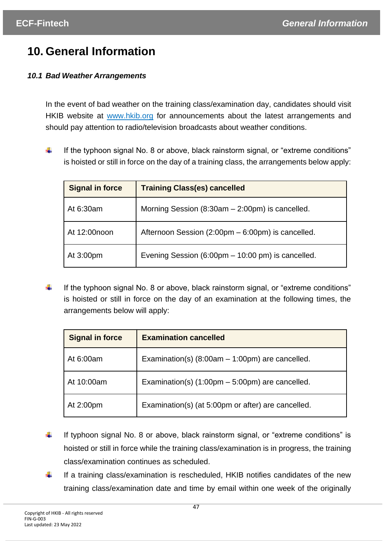# <span id="page-46-0"></span>**10. General Information**

# <span id="page-46-1"></span>*10.1 Bad Weather Arrangements*

In the event of bad weather on the training class/examination day, candidates should visit HKIB website at [www.hkib.org](http://www.hkib.org/) for announcements about the latest arrangements and should pay attention to radio/television broadcasts about weather conditions.

÷ If the typhoon signal No. 8 or above, black rainstorm signal, or "extreme conditions" is hoisted or still in force on the day of a training class, the arrangements below apply:

| <b>Signal in force</b> | <b>Training Class(es) cancelled</b>                 |
|------------------------|-----------------------------------------------------|
| At 6:30am              | Morning Session $(8:30am - 2:00pm)$ is cancelled.   |
| At 12:00noon           | Afternoon Session (2:00pm – 6:00pm) is cancelled.   |
| At 3:00pm              | Evening Session (6:00pm $-$ 10:00 pm) is cancelled. |

÷ If the typhoon signal No. 8 or above, black rainstorm signal, or "extreme conditions" is hoisted or still in force on the day of an examination at the following times, the arrangements below will apply:

| <b>Signal in force</b> | <b>Examination cancelled</b>                                      |
|------------------------|-------------------------------------------------------------------|
| At 6:00am              | Examination(s) $(8:00am - 1:00pm)$ are cancelled.                 |
| At 10:00am             | Examination(s) $(1:00 \text{pm} - 5:00 \text{pm})$ are cancelled. |
| At 2:00pm              | Examination(s) (at 5:00pm or after) are cancelled.                |

- ÷ If typhoon signal No. 8 or above, black rainstorm signal, or "extreme conditions" is hoisted or still in force while the training class/examination is in progress, the training class/examination continues as scheduled.
- If a training class/examination is rescheduled, HKIB notifies candidates of the new ∔ training class/examination date and time by email within one week of the originally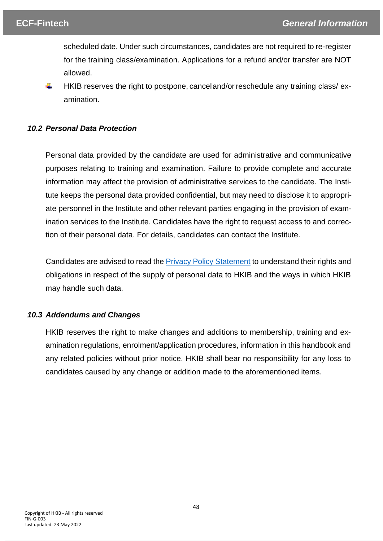scheduled date. Under such circumstances, candidates are not required to re-register for the training class/examination. Applications for a refund and/or transfer are NOT allowed.

₩ HKIB reserves the right to postpone, cancel and/or reschedule any training class/examination.

## <span id="page-47-0"></span>*10.2 Personal Data Protection*

Personal data provided by the candidate are used for administrative and communicative purposes relating to training and examination. Failure to provide complete and accurate information may affect the provision of administrative services to the candidate. The Institute keeps the personal data provided confidential, but may need to disclose it to appropriate personnel in the Institute and other relevant parties engaging in the provision of examination services to the Institute. Candidates have the right to request access to and correction of their personal data. For details, candidates can contact the Institute.

Candidates are advised to read th[e Privacy Policy Statement](https://www.hkib.org/storage/photos/7/Privacy_Policy_Statement_20220406.pdf) to understand their rights and obligations in respect of the supply of personal data to HKIB and the ways in which HKIB may handle such data.

### <span id="page-47-1"></span>*10.3 Addendums and Changes*

HKIB reserves the right to make changes and additions to membership, training and examination regulations, enrolment/application procedures, information in this handbook and any related policies without prior notice. HKIB shall bear no responsibility for any loss to candidates caused by any change or addition made to the aforementioned items.